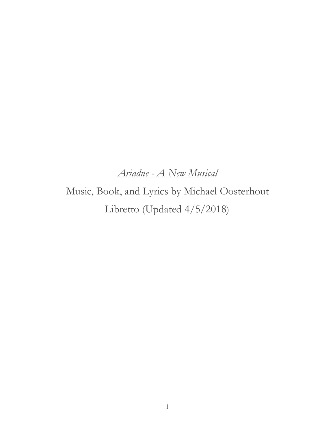*Ariadne - A New Musical* 

Music, Book, and Lyrics by Michael Oosterhout Libretto (Updated 4/5/2018)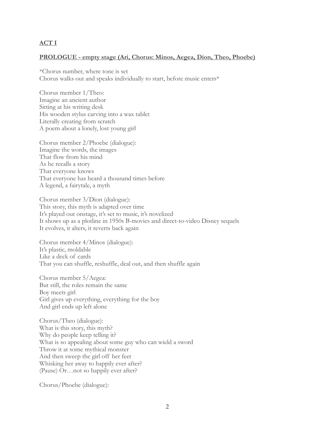# **ACT I**

#### **PROLOGUE - empty stage (Ari, Chorus: Minos, Aegea, Dion, Theo, Phoebe)**

\*Chorus number, where tone is set Chorus walks out and speaks individually to start, before music enters\*

Chorus member 1/Theo: Imagine an ancient author Sitting at his writing desk His wooden stylus carving into a wax tablet Literally creating from scratch A poem about a lonely, lost young girl

Chorus member 2/Phoebe (dialogue): Imagine the words, the images That flow from his mind As he recalls a story That everyone knows That everyone has heard a thousand times before A legend, a fairytale, a myth

Chorus member 3/Dion (dialogue): This story, this myth is adapted over time It's played out onstage, it's set to music, it's novelized It shows up as a plotline in 1950s B-movies and direct-to-video Disney sequels It evolves, it alters, it reverts back again

Chorus member 4/Minos (dialogue): It's plastic, moldable Like a deck of cards That you can shuffle, reshuffle, deal out, and then shuffle again

Chorus member 5/Aegea: But still, the roles remain the same Boy meets girl Girl gives up everything, everything for the boy And girl ends up left alone

Chorus/Theo (dialogue): What is this story, this myth? Why do people keep telling it? What is so appealing about some guy who can wield a sword Throw it at some mythical monster And then sweep the girl off her feet Whisking her away to happily ever after? (Pause) Or…not so happily ever after?

Chorus/Phoebe (dialogue):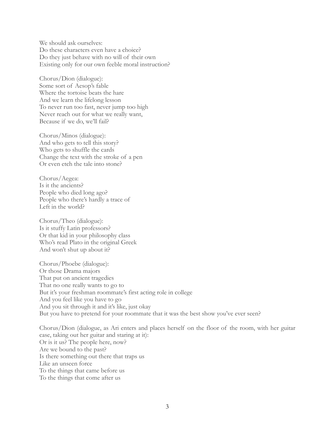We should ask ourselves: Do these characters even have a choice? Do they just behave with no will of their own Existing only for our own feeble moral instruction?

Chorus/Dion (dialogue): Some sort of Aesop's fable Where the tortoise beats the hare And we learn the lifelong lesson To never run too fast, never jump too high Never reach out for what we really want, Because if we do, we'll fail?

Chorus/Minos (dialogue): And who gets to tell this story? Who gets to shuffle the cards Change the text with the stroke of a pen Or even etch the tale into stone?

Chorus/Aegea: Is it the ancients? People who died long ago? People who there's hardly a trace of Left in the world?

Chorus/Theo (dialogue): Is it stuffy Latin professors? Or that kid in your philosophy class Who's read Plato in the original Greek And won't shut up about it?

Chorus/Phoebe (dialogue): Or those Drama majors That put on ancient tragedies That no one really wants to go to But it's your freshman roommate's first acting role in college And you feel like you have to go And you sit through it and it's like, just okay But you have to pretend for your roommate that it was the best show you've ever seen?

Chorus/Dion (dialogue, as Ari enters and places herself on the floor of the room, with her guitar case, taking out her guitar and staring at it): Or is it us? The people here, now? Are we bound to the past? Is there something out there that traps us Like an unseen force To the things that came before us To the things that come after us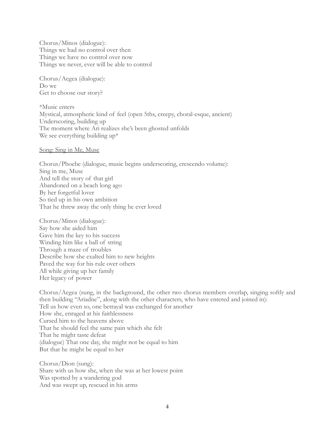Chorus/Minos (dialogue): Things we had no control over then Things we have no control over now Things we never, ever will be able to control

Chorus/Aegea (dialogue): Do we Get to choose our story?

\*Music enters Mystical, atmospheric kind of feel (open 5ths, creepy, choral-esque, ancient) Underscoring, building up The moment where Ari realizes she's been ghosted unfolds We see everything building up\*

#### Song: Sing in Me, Muse

Chorus/Phoebe (dialogue, music begins underscoring, crescendo volume): Sing in me, Muse And tell the story of that girl Abandoned on a beach long ago By her forgetful lover So tied up in his own ambition That he threw away the only thing he ever loved

Chorus/Minos (dialogue): Say how she aided him Gave him the key to his success Winding him like a ball of string Through a maze of troubles Describe how she exalted him to new heights Paved the way for his rule over others All while giving up her family Her legacy of power

Chorus/Aegea (sung, in the background, the other two chorus members overlap, singing softly and then building "Ariadne", along with the other characters, who have entered and joined in): Tell us how even so, one betrayal was exchanged for another How she, enraged at his faithlessness Cursed him to the heavens above That he should feel the same pain which she felt That he might taste defeat (dialogue) That one day, she might not be equal to him But that he might be equal to her

Chorus/Dion (sung): Share with us how she, when she was at her lowest point Was spotted by a wandering god And was swept up, rescued in his arms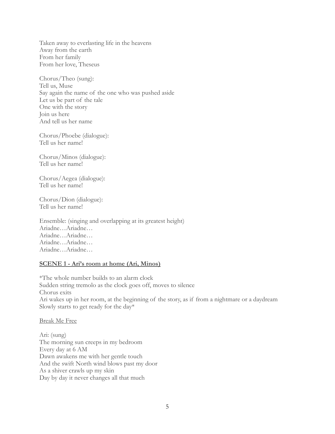Taken away to everlasting life in the heavens Away from the earth From her family From her love, Theseus

Chorus/Theo (sung): Tell us, Muse Say again the name of the one who was pushed aside Let us be part of the tale One with the story Join us here And tell us her name

Chorus/Phoebe (dialogue): Tell us her name!

Chorus/Minos (dialogue): Tell us her name!

Chorus/Aegea (dialogue): Tell us her name!

Chorus/Dion (dialogue): Tell us her name!

Ensemble: (singing and overlapping at its greatest height) Ariadne…Ariadne… Ariadne…Ariadne… Ariadne…Ariadne… Ariadne…Ariadne…

## **SCENE 1 - Ari's room at home (Ari, Minos)**

\*The whole number builds to an alarm clock Sudden string tremolo as the clock goes off, moves to silence Chorus exits Ari wakes up in her room, at the beginning of the story, as if from a nightmare or a daydream Slowly starts to get ready for the day\*

Break Me Free

Ari: (sung) The morning sun creeps in my bedroom Every day at 6 AM Dawn awakens me with her gentle touch And the swift North wind blows past my door As a shiver crawls up my skin Day by day it never changes all that much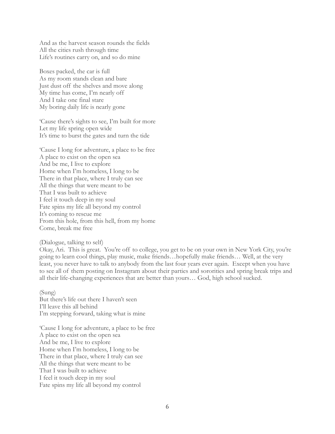And as the harvest season rounds the fields All the cities rush through time Life's routines carry on, and so do mine

Boxes packed, the car is full As my room stands clean and bare Just dust off the shelves and move along My time has come, I'm nearly off And I take one final stare My boring daily life is nearly gone

'Cause there's sights to see, I'm built for more Let my life spring open wide It's time to burst the gates and turn the tide

'Cause I long for adventure, a place to be free A place to exist on the open sea And be me, I live to explore Home when I'm homeless, I long to be There in that place, where I truly can see All the things that were meant to be That I was built to achieve I feel it touch deep in my soul Fate spins my life all beyond my control It's coming to rescue me From this hole, from this hell, from my home Come, break me free

(Dialogue, talking to self)

Okay, Ari. This is great. You're off to college, you get to be on your own in New York City, you're going to learn cool things, play music, make friends…hopefully make friends… Well, at the very least, you never have to talk to anybody from the last four years ever again. Except when you have to see all of them posting on Instagram about their parties and sororities and spring break trips and all their life-changing experiences that are better than yours… God, high school sucked.

(Sung) But there's life out there I haven't seen I'll leave this all behind I'm stepping forward, taking what is mine

'Cause I long for adventure, a place to be free A place to exist on the open sea And be me, I live to explore Home when I'm homeless, I long to be There in that place, where I truly can see All the things that were meant to be That I was built to achieve I feel it touch deep in my soul Fate spins my life all beyond my control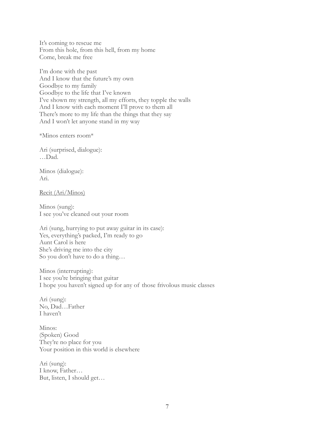It's coming to rescue me From this hole, from this hell, from my home Come, break me free

I'm done with the past And I know that the future's my own Goodbye to my family Goodbye to the life that I've known I've shown my strength, all my efforts, they topple the walls And I know with each moment I'll prove to them all There's more to my life than the things that they say And I won't let anyone stand in my way

\*Minos enters room\*

Ari (surprised, dialogue): …Dad.

Minos (dialogue): Ari.

Recit (Ari/Minos)

Minos (sung): I see you've cleaned out your room

Ari (sung, hurrying to put away guitar in its case): Yes, everything's packed, I'm ready to go Aunt Carol is here She's driving me into the city So you don't have to do a thing…

Minos (interrupting): I see you're bringing that guitar I hope you haven't signed up for any of those frivolous music classes

Ari (sung): No, Dad…Father I haven't

Minos: (Spoken) Good They're no place for you Your position in this world is elsewhere

Ari (sung): I know, Father… But, listen, I should get…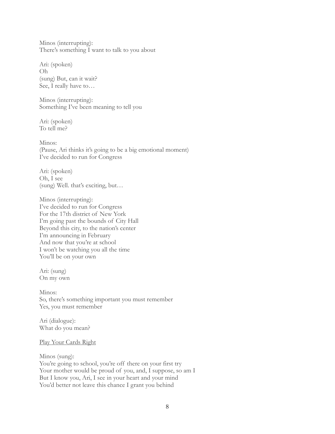Minos (interrupting): There's something I want to talk to you about

Ari: (spoken) Oh (sung) But, can it wait? See, I really have to…

Minos (interrupting): Something I've been meaning to tell you

Ari: (spoken) To tell me?

Minos: (Pause, Ari thinks it's going to be a big emotional moment) I've decided to run for Congress

Ari: (spoken) Oh, I see (sung) Well. that's exciting, but…

Minos (interrupting): I've decided to run for Congress For the 17th district of New York I'm going past the bounds of City Hall Beyond this city, to the nation's center I'm announcing in February And now that you're at school I won't be watching you all the time You'll be on your own

Ari: (sung) On my own

Minos: So, there's something important you must remember Yes, you must remember

Ari (dialogue): What do you mean?

#### Play Your Cards Right

## Minos (sung): You're going to school, you're off there on your first try Your mother would be proud of you, and, I suppose, so am I But I know you, Ari, I see in your heart and your mind You'd better not leave this chance I grant you behind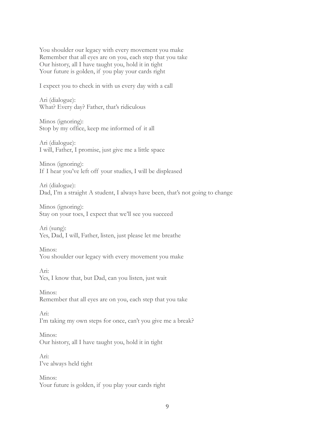You shoulder our legacy with every movement you make Remember that all eyes are on you, each step that you take Our history, all I have taught you, hold it in tight Your future is golden, if you play your cards right

I expect you to check in with us every day with a call

Ari (dialogue): What? Every day? Father, that's ridiculous

Minos (ignoring): Stop by my office, keep me informed of it all

Ari (dialogue): I will, Father, I promise, just give me a little space

Minos (ignoring): If I hear you've left off your studies, I will be displeased

Ari (dialogue): Dad, I'm a straight A student, I always have been, that's not going to change

Minos (ignoring): Stay on your toes, I expect that we'll see you succeed

Ari (sung): Yes, Dad, I will, Father, listen, just please let me breathe

Minos: You shoulder our legacy with every movement you make

Ari: Yes, I know that, but Dad, can you listen, just wait

Minos: Remember that all eyes are on you, each step that you take

Ari: I'm taking my own steps for once, can't you give me a break?

Minos: Our history, all I have taught you, hold it in tight

Ari: I've always held tight

Minos: Your future is golden, if you play your cards right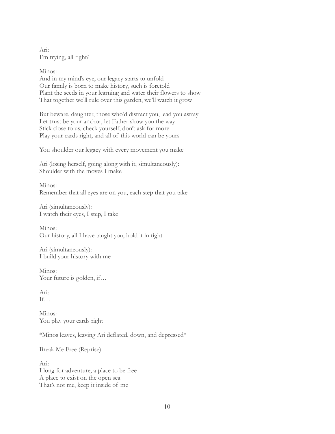Ari: I'm trying, all right?

Minos: And in my mind's eye, our legacy starts to unfold Our family is born to make history, such is foretold Plant the seeds in your learning and water their flowers to show That together we'll rule over this garden, we'll watch it grow

But beware, daughter, those who'd distract you, lead you astray Let trust be your anchor, let Father show you the way Stick close to us, check yourself, don't ask for more Play your cards right, and all of this world can be yours

You shoulder our legacy with every movement you make

Ari (losing herself, going along with it, simultaneously): Shoulder with the moves I make

Minos: Remember that all eyes are on you, each step that you take

Ari (simultaneously): I watch their eyes, I step, I take

Minos: Our history, all I have taught you, hold it in tight

Ari (simultaneously): I build your history with me

Minos: Your future is golden, if...

Ari:  $If...$ 

Minos: You play your cards right

\*Minos leaves, leaving Ari deflated, down, and depressed\*

## Break Me Free (Reprise)

Ari: I long for adventure, a place to be free A place to exist on the open sea That's not me, keep it inside of me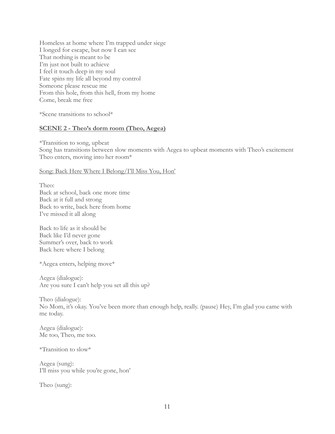Homeless at home where I'm trapped under siege I longed for escape, but now I can see That nothing is meant to be I'm just not built to achieve I feel it touch deep in my soul Fate spins my life all beyond my control Someone please rescue me From this hole, from this hell, from my home Come, break me free

\*Scene transitions to school\*

## **SCENE 2 - Theo's dorm room (Theo, Aegea)**

\*Transition to song, upbeat Song has transitions between slow moments with Aegea to upbeat moments with Theo's excitement Theo enters, moving into her room\*

Song: Back Here Where I Belong/I'll Miss You, Hon'

Theo: Back at school, back one more time Back at it full and strong Back to write, back here from home I've missed it all along

Back to life as it should be Back like I'd never gone Summer's over, back to work Back here where I belong

\*Aegea enters, helping move\*

Aegea (dialogue): Are you sure I can't help you set all this up?

Theo (dialogue):

No Mom, it's okay. You've been more than enough help, really. (pause) Hey, I'm glad you came with me today.

Aegea (dialogue): Me too, Theo, me too.

\*Transition to slow\*

Aegea (sung): I'll miss you while you're gone, hon'

Theo (sung):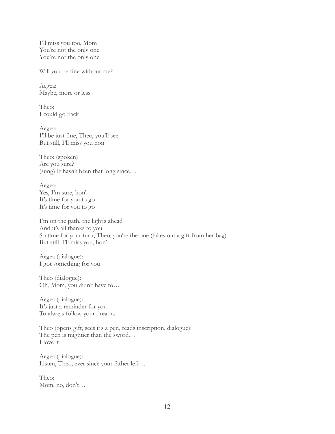I'll miss you too, Mom You're not the only one You're not the only one

Will you be fine without me?

Aegea: Maybe, more or less

Theo: I could go back

Aegea: I'll be just fine, Theo, you'll see But still, I'll miss you hon'

Theo: (spoken) Are you sure? (sung) It hasn't been that long since…

Aegea: Yes, I'm sure, hon' It's time for you to go It's time for you to go

I'm on the path, the light's ahead And it's all thanks to you So time for your turn, Theo, you're the one (takes out a gift from her bag) But still, I'll miss you, hon'

Aegea (dialogue): I got something for you

Theo (dialogue): Oh, Mom, you didn't have to…

Aegea (dialogue): It's just a reminder for you To always follow your dreams

Theo (opens gift, sees it's a pen, reads inscription, dialogue): The pen is mightier than the sword… I love it

Aegea (dialogue): Listen, Theo, ever since your father left…

Theo: Mom, no, don't…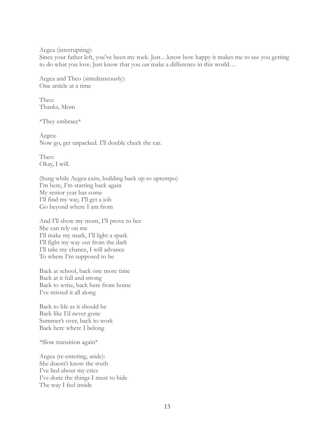Aegea (interrupting):

Since your father left, you've been my rock. Just…know how happy it makes me to see you getting to do what you love. Just know that you *can* make a difference in this world…

Aegea and Theo (simultaneously): One article at a time

Theo: Thanks, Mom

\*They embrace\*

Aegea: Now go, get unpacked. I'll double check the car.

Theo: Okay, I will.

(Sung while Aegea exits, building back up to uptempo) I'm here, I'm starting back again My senior year has come I'll find my way, I'll get a job Go beyond where I am from

And I'll show my mom, I'll prove to her She can rely on me I'll make my mark, I'll light a spark I'll fight my way out from the dark I'll take my chance, I will advance To where I'm supposed to be

Back at school, back one more time Back at it full and strong Back to write, back here from home I've missed it all along

Back to life as it should be Back like I'd never gone Summer's over, back to work Back here where I belong

\*Slow transition again\*

Aegea (re-entering, aside): She doesn't know the truth I've lied about my cries I've done the things I must to hide The way I feel inside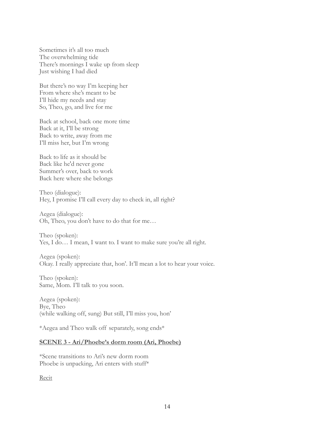Sometimes it's all too much The overwhelming tide There's mornings I wake up from sleep Just wishing I had died

But there's no way I'm keeping her From where she's meant to be I'll hide my needs and stay So, Theo, go, and live for me

Back at school, back one more time Back at it, I'll be strong Back to write, away from me I'll miss her, but I'm wrong

Back to life as it should be Back like he'd never gone Summer's over, back to work Back here where she belongs

Theo (dialogue): Hey, I promise I'll call every day to check in, all right?

Aegea (dialogue): Oh, Theo, you don't have to do that for me…

Theo (spoken): Yes, I do... I mean, I want to. I want to make sure you're all right.

Aegea (spoken): Okay. I really appreciate that, hon'. It'll mean a lot to hear your voice.

Theo (spoken): Same, Mom. I'll talk to you soon.

Aegea (spoken): Bye, Theo (while walking off, sung) But still, I'll miss you, hon'

\*Aegea and Theo walk off separately, song ends\*

## **SCENE 3 - Ari/Phoebe's dorm room (Ari, Phoebe)**

\*Scene transitions to Ari's new dorm room Phoebe is unpacking, Ari enters with stuff\*

Recit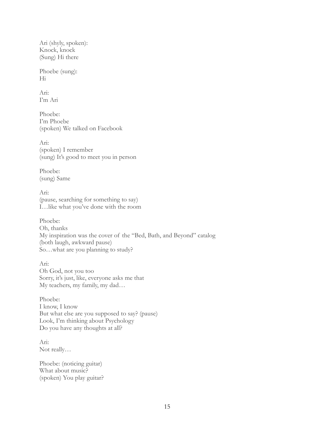Ari (shyly, spoken): Knock, knock (Sung) Hi there

Phoebe (sung): Hi

Ari: I'm Ari

Phoebe: I'm Phoebe (spoken) We talked on Facebook

Ari: (spoken) I remember (sung) It's good to meet you in person

Phoebe: (sung) Same

Ari: (pause, searching for something to say) I…like what you've done with the room

Phoebe: Oh, thanks My inspiration was the cover of the "Bed, Bath, and Beyond" catalog (both laugh, awkward pause) So…what are you planning to study?

Ari: Oh God, not you too Sorry, it's just, like, everyone asks me that My teachers, my family, my dad…

Phoebe: I know, I know But what else are you supposed to say? (pause) Look, I'm thinking about Psychology Do you have any thoughts at all?

Ari: Not really…

Phoebe: (noticing guitar) What about music? (spoken) You play guitar?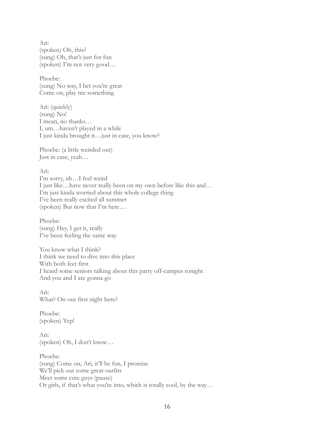Ari: (spoken) Oh, this? (sung) Oh, that's just for fun (spoken) I'm not very good…

Phoebe: (sung) No way, I bet you're great Come on, play me something

Ari: (quickly) (sung) No! I mean, no thanks… I, um…haven't played in a while I just kinda brought it…just in case, you know?

Phoebe: (a little weirded out) Just in case, yeah…

Ari:

I'm sorry, uh…I feel weird I just like…have never really been on my own before like this and… I'm just kinda worried about this whole college thing I've been really excited all summer (spoken) But now that I'm here…

Phoebe: (sung) Hey, I get it, really I've been feeling the same way

You know what I think? I think we need to dive into this place With both feet first I heard some seniors talking about this party off-campus tonight And you and I are gonna go

Ari: What? On our first night here?

Phoebe: (spoken) Yep!

Ari: (spoken) Oh, I don't know…

Phoebe: (sung) Come on, Ari, it'll be fun, I promise We'll pick out some great outfits Meet some cute guys (pause) Or girls, if that's what you're into, which is totally cool, by the way...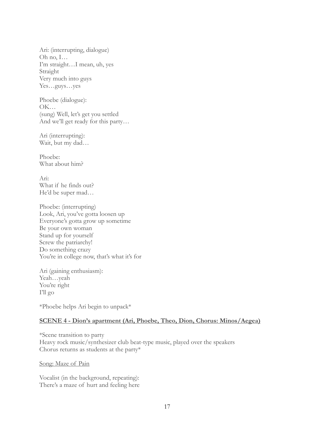Ari: (interrupting, dialogue) Oh no, I… I'm straight…I mean, uh, yes Straight Very much into guys Yes…guys…yes

Phoebe (dialogue): OK… (sung) Well, let's get you settled And we'll get ready for this party…

Ari (interrupting): Wait, but my dad…

Phoebe: What about him?

Ari: What if he finds out? He'd be super mad…

Phoebe: (interrupting) Look, Ari, you've gotta loosen up Everyone's gotta grow up sometime Be your own woman Stand up for yourself Screw the patriarchy! Do something crazy You're in college now, that's what it's for

Ari (gaining enthusiasm): Yeah…yeah You're right I'll go

\*Phoebe helps Ari begin to unpack\*

## **SCENE 4 - Dion's apartment (Ari, Phoebe, Theo, Dion, Chorus: Minos/Aegea)**

\*Scene transition to party Heavy rock music/synthesizer club beat-type music, played over the speakers Chorus returns as students at the party\*

Song: Maze of Pain

Vocalist (in the background, repeating): There's a maze of hurt and feeling here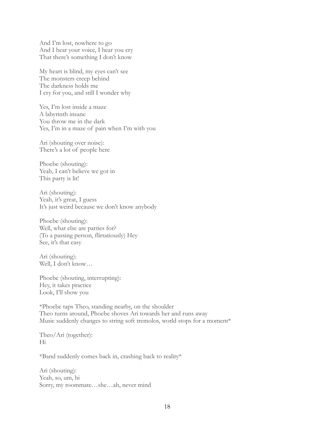And I'm lost, nowhere to go And I hear your voice, I hear you cry That there's something I don't know

My heart is blind, my eyes can't see The monsters creep behind The darkness holds me I cry for you, and still I wonder why

Yes, I'm lost inside a maze A labyrinth insane You throw me in the dark Yes, I'm in a maze of pain when I'm with you

Ari (shouting over noise): There's a lot of people here

Phoebe (shouting): Yeah, I can't believe we got in This party is lit!

Ari (shouting): Yeah, it's great, I guess It's just weird because we don't know anybody

Phoebe (shouting): Well, what else are parties for? (To a passing person, flirtatiously) Hey See, it's that easy

Ari (shouting): Well, I don't know…

Phoebe (shouting, interrupting): Hey, it takes practice Look, I'll show you

\*Phoebe taps Theo, standing nearby, on the shoulder Theo turns around, Phoebe shoves Ari towards her and runs away Music suddenly changes to string soft tremolos, world stops for a moment\*

Theo/Ari (together): Hi

\*Band suddenly comes back in, crashing back to reality\*

Ari (shouting): Yeah, so, um, hi Sorry, my roommate…she…ah, never mind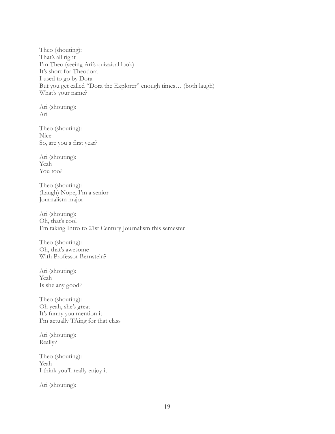Theo (shouting): That's all right I'm Theo (seeing Ari's quizzical look) It's short for Theodora I used to go by Dora But you get called "Dora the Explorer" enough times… (both laugh) What's your name?

Ari (shouting): Ari

Theo (shouting): Nice So, are you a first year?

Ari (shouting): Yeah You too?

Theo (shouting): (Laugh) Nope, I'm a senior Journalism major

Ari (shouting): Oh, that's cool I'm taking Intro to 21st Century Journalism this semester

Theo (shouting): Oh, that's awesome With Professor Bernstein?

Ari (shouting): Yeah Is she any good?

Theo (shouting): Oh yeah, she's great It's funny you mention it I'm actually TAing for that class

Ari (shouting): Really?

Theo (shouting): Yeah I think you'll really enjoy it

Ari (shouting):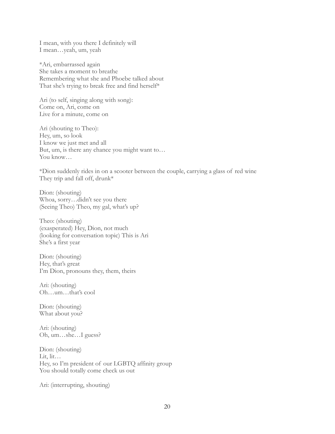I mean, with you there I definitely will I mean…yeah, um, yeah

\*Ari, embarrassed again She takes a moment to breathe Remembering what she and Phoebe talked about That she's trying to break free and find herself\*

Ari (to self, singing along with song): Come on, Ari, come on Live for a minute, come on

Ari (shouting to Theo): Hey, um, so look I know we just met and all But, um, is there any chance you might want to… You know…

\*Dion suddenly rides in on a scooter between the couple, carrying a glass of red wine They trip and fall off, drunk\*

Dion: (shouting) Whoa, sorry…didn't see you there (Seeing Theo) Theo, my gal, what's up?

Theo: (shouting) (exasperated) Hey, Dion, not much (looking for conversation topic) This is Ari She's a first year

Dion: (shouting) Hey, that's great I'm Dion, pronouns they, them, theirs

Ari: (shouting) Oh…um…that's cool

Dion: (shouting) What about you?

Ari: (shouting) Oh, um…she…I guess?

Dion: (shouting) Lit, lit… Hey, so I'm president of our LGBTQ affinity group You should totally come check us out

Ari: (interrupting, shouting)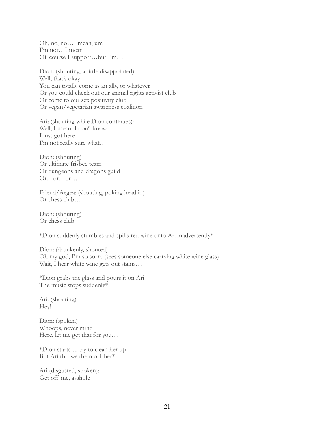Oh, no, no…I mean, um I'm not…I mean Of course I support…but I'm…

Dion: (shouting, a little disappointed) Well, that's okay You can totally come as an ally, or whatever Or you could check out our animal rights activist club Or come to our sex positivity club Or vegan/vegetarian awareness coalition

Ari: (shouting while Dion continues): Well, I mean, I don't know I just got here I'm not really sure what…

Dion: (shouting) Or ultimate frisbee team Or dungeons and dragons guild Or…or…or…

Friend/Aegea: (shouting, poking head in) Or chess club…

Dion: (shouting) Or chess club!

\*Dion suddenly stumbles and spills red wine onto Ari inadvertently\*

Dion: (drunkenly, shouted) Oh my god, I'm so sorry (sees someone else carrying white wine glass) Wait, I hear white wine gets out stains…

\*Dion grabs the glass and pours it on Ari The music stops suddenly\*

Ari: (shouting) Hey!

Dion: (spoken) Whoops, never mind Here, let me get that for you…

\*Dion starts to try to clean her up But Ari throws them off her\*

Ari (disgusted, spoken): Get off me, asshole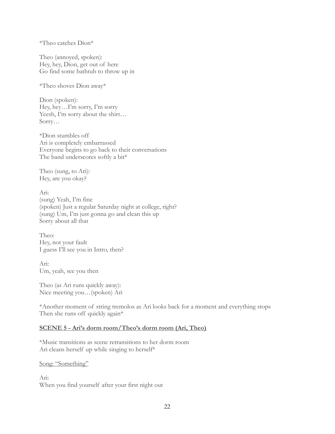\*Theo catches Dion\*

Theo (annoyed, spoken): Hey, hey, Dion, get out of here Go find some bathtub to throw up in

\*Theo shoves Dion away\*

Dion (spoken): Hey, hey…I'm sorry, I'm sorry Yeesh, I'm sorry about the shirt… Sorry…

\*Dion stumbles off Ari is completely embarrassed Everyone begins to go back to their conversations The band underscores softly a bit\*

Theo (sung, to Ari): Hey, are you okay?

Ari: (sung) Yeah, I'm fine (spoken) Just a regular Saturday night at college, right? (sung) Um, I'm just gonna go and clean this up Sorry about all that

Theo: Hey, not your fault I guess I'll see you in Intro, then?

Ari: Um, yeah, see you then

Theo (as Ari runs quickly away): Nice meeting you…(spoken) Ari

\*Another moment of string tremolos as Ari looks back for a moment and everything stops Then she runs off quickly again\*

## **SCENE 5 - Ari's dorm room/Theo's dorm room (Ari, Theo)**

\*Music transitions as scene retransitions to her dorm room Ari cleans herself up while singing to herself\*

Song: "Something"

Ari: When you find yourself after your first night out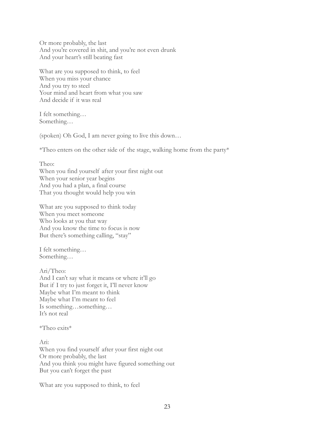Or more probably, the last And you're covered in shit, and you're not even drunk And your heart's still beating fast

What are you supposed to think, to feel When you miss your chance And you try to steel Your mind and heart from what you saw And decide if it was real

I felt something… Something…

(spoken) Oh God, I am never going to live this down…

\*Theo enters on the other side of the stage, walking home from the party\*

Theo: When you find yourself after your first night out When your senior year begins And you had a plan, a final course That you thought would help you win

What are you supposed to think today When you meet someone Who looks at you that way And you know the time to focus is now But there's something calling, "stay"

I felt something… Something…

Ari/Theo: And I can't say what it means or where it'll go But if I try to just forget it, I'll never know Maybe what I'm meant to think Maybe what I'm meant to feel Is something…something… It's not real

\*Theo exits\*

Ari: When you find yourself after your first night out Or more probably, the last And you think you might have figured something out But you can't forget the past

What are you supposed to think, to feel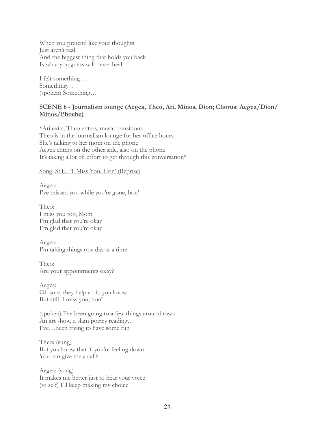When you pretend like your thoughts Just aren't real And the biggest thing that holds you back Is what you guess will never heal

I felt something… Something… (spoken) Something…

# **SCENE 6 - Journalism lounge (Aegea, Theo, Ari, Minos, Dion; Chorus: Aegea/Dion/ Minos/Phoebe)**

\*Ari exits, Theo enters, music transitions Theo is in the journalism lounge for her office hours She's talking to her mom on the phone Aegea enters on the other side, also on the phone It's taking a lot of effort to get through this conversation\*

#### Song: Still, I'll Miss You, Hon' (Reprise)

Aegea: I've missed you while you're gone, hon'

Theo: I miss you too, Mom I'm glad that you're okay I'm glad that you're okay

Aegea: I'm taking things one day at a time

Theo: Are your appointments okay?

Aegea: Oh sure, they help a bit, you know But still, I miss you, hon'

(spoken) I've been going to a few things around town An art show, a slam poetry reading… I've…been trying to have some fun

Theo: (sung) But you know that if you're feeling down You can give me a call?

Aegea: (sung) It makes me better just to hear your voice (to self) I'll keep making my choice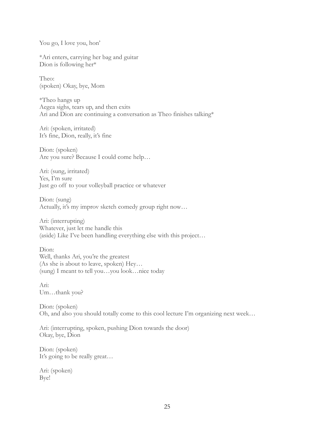You go, I love you, hon'

\*Ari enters, carrying her bag and guitar Dion is following her\*

Theo: (spoken) Okay, bye, Mom

\*Theo hangs up Aegea sighs, tears up, and then exits Ari and Dion are continuing a conversation as Theo finishes talking\*

Ari: (spoken, irritated) It's fine, Dion, really, it's fine

Dion: (spoken) Are you sure? Because I could come help…

Ari: (sung, irritated) Yes, I'm sure Just go off to your volleyball practice or whatever

Dion: (sung) Actually, it's my improv sketch comedy group right now…

Ari: (interrupting) Whatever, just let me handle this (aside) Like I've been handling everything else with this project…

Dion: Well, thanks Ari, you're the greatest (As she is about to leave, spoken) Hey… (sung) I meant to tell you…you look…nice today

Ari: Um…thank you?

Dion: (spoken) Oh, and also you should totally come to this cool lecture I'm organizing next week…

Ari: (interrupting, spoken, pushing Dion towards the door) Okay, bye, Dion

Dion: (spoken) It's going to be really great…

Ari: (spoken) Bye!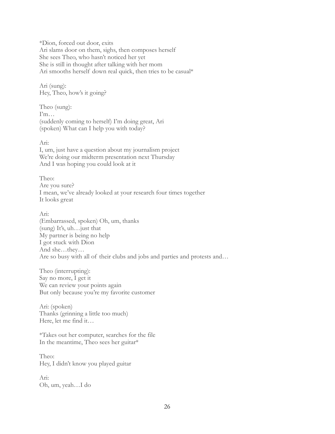\*Dion, forced out door, exits Ari slams door on them, sighs, then composes herself She sees Theo, who hasn't noticed her yet She is still in thought after talking with her mom Ari smooths herself down real quick, then tries to be casual\*

Ari (sung): Hey, Theo, how's it going?

Theo (sung):  $I'm...$ (suddenly coming to herself) I'm doing great, Ari (spoken) What can I help you with today?

Ari:

I, um, just have a question about my journalism project We're doing our midterm presentation next Thursday And I was hoping you could look at it

Theo: Are you sure? I mean, we've already looked at your research four times together It looks great

Ari:

(Embarrassed, spoken) Oh, um, thanks (sung) It's, uh…just that My partner is being no help I got stuck with Dion And she…they… Are so busy with all of their clubs and jobs and parties and protests and…

Theo (interrupting): Say no more, I get it We can review your points again But only because you're my favorite customer

Ari: (spoken) Thanks (grinning a little too much) Here, let me find it…

\*Takes out her computer, searches for the file In the meantime, Theo sees her guitar\*

Theo: Hey, I didn't know you played guitar

Ari: Oh, um, yeah…I do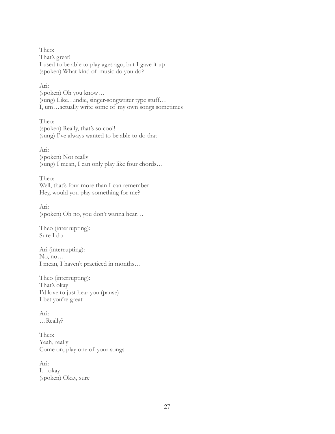Theo: That's great! I used to be able to play ages ago, but I gave it up (spoken) What kind of music do you do?

Ari: (spoken) Oh you know… (sung) Like…indie, singer-songwriter type stuff… I, um…actually write some of my own songs sometimes

Theo: (spoken) Really, that's so cool! (sung) I've always wanted to be able to do that

Ari: (spoken) Not really (sung) I mean, I can only play like four chords…

Theo: Well, that's four more than I can remember Hey, would you play something for me?

Ari: (spoken) Oh no, you don't wanna hear…

Theo (interrupting): Sure I do

Ari (interrupting): No, no… I mean, I haven't practiced in months…

Theo (interrupting): That's okay I'd love to just hear you (pause) I bet you're great

Ari: …Really?

Theo: Yeah, really Come on, play one of your songs

Ari: I…okay (spoken) Okay, sure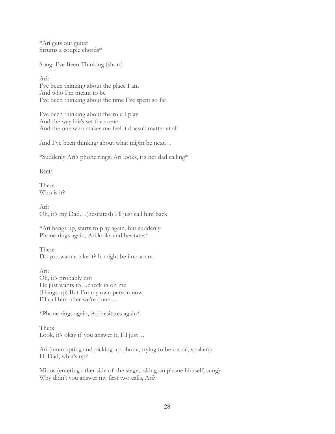\*Ari gets out guitar Strums a couple chords\*

Song: I've Been Thinking (short)

Ari: I've been thinking about the place I am And who I'm meant to be I've been thinking about the time I've spent so far

I've been thinking about the role I play And the way life's set the scene And the one who makes me feel it doesn't matter at all

And I've been thinking about what might be next…

\*Suddenly Ari's phone rings; Ari looks, it's her dad calling\*

Recit

Theo: Who is it?

Ari: Oh, it's my Dad…(hesitatesl) I'll just call him back

\*Ari hangs up, starts to play again, but suddenly Phone rings again, Ari looks and hesitates\*

Theo: Do you wanna take it? It might be important

Ari: Oh, it's probably not He just wants to…check in on me (Hangs up) But I'm my own person now I'll call him after we're done…

\*Phone rings again, Ari hesitates again\*

Theo: Look, it's okay if you answer it, I'll just…

Ari (interrupting and picking up phone, trying to be casual, spoken): Hi Dad, what's up?

Minos (entering other side of the stage, taking on phone himself, sung): Why didn't you answer my first two calls, Ari?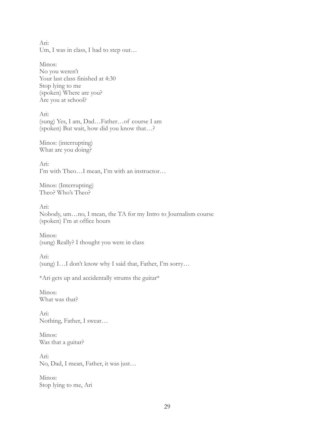Ari: Um, I was in class, I had to step out…

Minos: No you weren't Your last class finished at 4:30 Stop lying to me (spoken) Where are you? Are you at school?

Ari: (sung) Yes, I am, Dad…Father…of course I am (spoken) But wait, how did you know that…?

Minos: (interrupting) What are you doing?

Ari: I'm with Theo…I mean, I'm with an instructor…

Minos: (Interrupting) Theo? Who's Theo?

Ari: Nobody, um…no, I mean, the TA for my Intro to Journalism course (spoken) I'm at office hours

Minos: (sung) Really? I thought you were in class

Ari: (sung) I…I don't know why I said that, Father, I'm sorry…

\*Ari gets up and accidentally strums the guitar\*

Minos: What was that?

Ari: Nothing, Father, I swear…

Minos: Was that a guitar?

Ari: No, Dad, I mean, Father, it was just…

Minos: Stop lying to me, Ari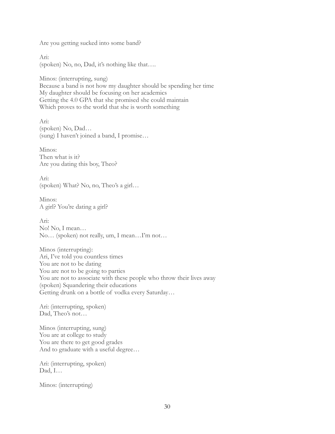Are you getting sucked into some band?

Ari: (spoken) No, no, Dad, it's nothing like that….

Minos: (interrupting, sung) Because a band is not how my daughter should be spending her time My daughter should be focusing on her academics Getting the 4.0 GPA that she promised she could maintain Which proves to the world that she is worth something

Ari: (spoken) No, Dad… (sung) I haven't joined a band, I promise…

Minos<sup>.</sup> Then what is it? Are you dating this boy, Theo?

Ari: (spoken) What? No, no, Theo's a girl…

Minos: A girl? You're dating a girl?

Ari: No! No, I mean… No… (spoken) not really, um, I mean…I'm not…

Minos (interrupting): Ari, I've told you countless times You are not to be dating You are not to be going to parties You are not to associate with these people who throw their lives away (spoken) Squandering their educations Getting drunk on a bottle of vodka every Saturday…

Ari: (interrupting, spoken) Dad, Theo's not…

Minos (interrupting, sung) You are at college to study You are there to get good grades And to graduate with a useful degree…

Ari: (interrupting, spoken) Dad, I…

Minos: (interrupting)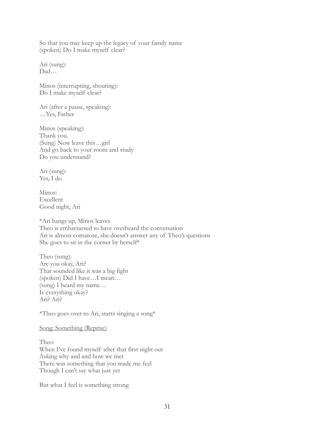So that you may keep up the legacy of your family name (spoken) Do I make myself clear?

Ari (sung): Dad…

Minos (interrupting, shouting): Do I make myself clear?

Ari (after a pause, speaking): …Yes, Father

Minos (speaking): Thank you. (Sung) Now leave this…girl And go back to your room and study Do you understand?

Ari (sung): Yes, I do

Minos: Excellent Good night, Ari

\*Ari hangs up, Minos leaves Theo is embarrassed to have overheard the conversation Ari is almost comatose, she doesn't answer any of Theo's questions She goes to sit in the corner by herself\*

Theo (sung): Are you okay, Ari? That sounded like it was a big fight (spoken) Did I have…I mean… (sung) I heard my name… Is everything okay? Ari? Ari?

\*Theo goes over to Ari, starts singing a song\*

Song: Something (Reprise)

Theo: When I've found myself after that first night out Asking why and and how we met There was something that you made me feel Though I can't say what just yet

But what I feel is something strong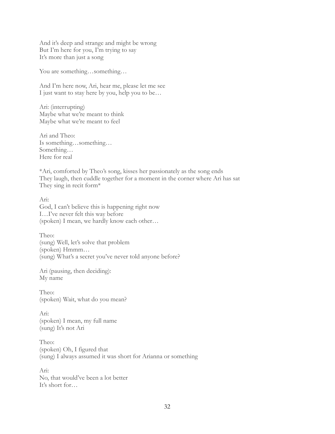And it's deep and strange and might be wrong But I'm here for you, I'm trying to say It's more than just a song

You are something...something...

And I'm here now, Ari, hear me, please let me see I just want to stay here by you, help you to be…

Ari: (interrupting) Maybe what we're meant to think Maybe what we're meant to feel

Ari and Theo: Is something…something… Something… Here for real

\*Ari, comforted by Theo's song, kisses her passionately as the song ends They laugh, then cuddle together for a moment in the corner where Ari has sat They sing in recit form\*

Ari: God, I can't believe this is happening right now I…I've never felt this way before (spoken) I mean, we hardly know each other…

Theo: (sung) Well, let's solve that problem (spoken) Hmmm… (sung) What's a secret you've never told anyone before?

Ari (pausing, then deciding): My name

Theo: (spoken) Wait, what do you mean?

Ari: (spoken) I mean, my full name (sung) It's not Ari

Theo: (spoken) Oh, I figured that (sung) I always assumed it was short for Arianna or something

Ari: No, that would've been a lot better It's short for…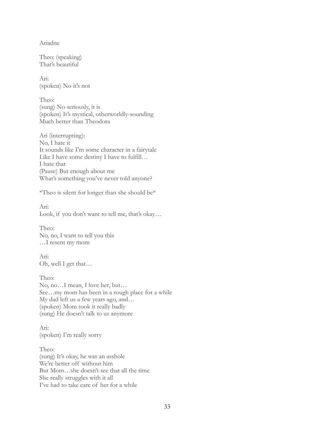Ariadne

Theo: (speaking) That's beautiful

Ari: (spoken) No it's not

Theo: (sung) No seriously, it is (spoken) It's mystical, otherworldly-sounding Much better than Theodora

Ari (interrupting): No, I hate it It sounds like I'm some character in a fairytale Like I have some destiny I have to fulfill… I hate that (Pause) But enough about me What's something you've never told anyone?

\*Theo is silent for longer than she should be\*

Ari: Look, if you don't want to tell me, that's okay…

Theo: No, no, I want to tell you this …I resent my mom

Ari: Oh, well I get that…

Theo: No, no…I mean, I love her, but… See…my mom has been in a rough place for a while My dad left us a few years ago, and… (spoken) Mom took it really badly (sung) He doesn't talk to us anymore

Ari: (spoken) I'm really sorry

Theo: (sung) It's okay, he was an asshole We're better off without him But Mom…she doesn't see that all the time She really struggles with it all I've had to take care of her for a while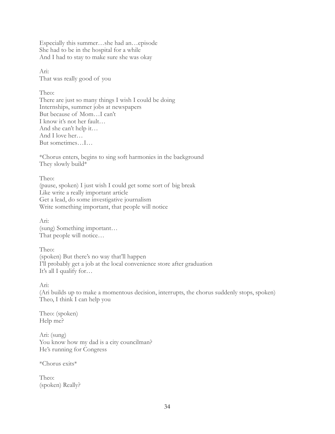Especially this summer…she had an…episode She had to be in the hospital for a while And I had to stay to make sure she was okay

Ari: That was really good of you

Theo: There are just so many things I wish I could be doing Internships, summer jobs at newspapers But because of Mom…I can't I know it's not her fault… And she can't help it… And I love her… But sometimes…I…

\*Chorus enters, begins to sing soft harmonies in the background They slowly build\*

Theo: (pause, spoken) I just wish I could get some sort of big break Like write a really important article Get a lead, do some investigative journalism Write something important, that people will notice

Ari: (sung) Something important… That people will notice…

Theo: (spoken) But there's no way that'll happen I'll probably get a job at the local convenience store after graduation It's all I qualify for…

Ari: (Ari builds up to make a momentous decision, interrupts, the chorus suddenly stops, spoken) Theo, I think I can help you

Theo: (spoken) Help me?

Ari: (sung) You know how my dad is a city councilman? He's running for Congress

\*Chorus exits\*

Theo: (spoken) Really?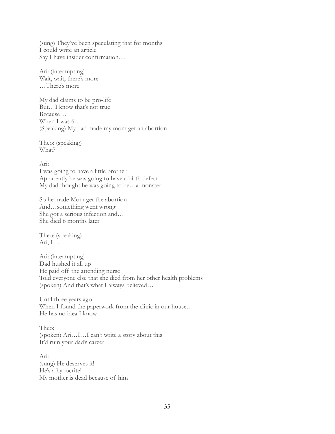(sung) They've been speculating that for months I could write an article Say I have insider confirmation…

Ari: (interrupting) Wait, wait, there's more …There's more

My dad claims to be pro-life But…I know that's not true Because… When I was 6… (Speaking) My dad made my mom get an abortion

Theo: (speaking) What?

Ari: I was going to have a little brother Apparently he was going to have a birth defect My dad thought he was going to be…a monster

So he made Mom get the abortion And…something went wrong She got a serious infection and… She died 6 months later

Theo: (speaking) Ari, I…

Ari: (interrupting) Dad hushed it all up He paid off the attending nurse Told everyone else that she died from her other health problems (spoken) And that's what I always believed…

Until three years ago When I found the paperwork from the clinic in our house... He has no idea I know

Theo: (spoken) Ari…I…I can't write a story about this It'd ruin your dad's career

Ari: (sung) He deserves it! He's a hypocrite! My mother is dead because of him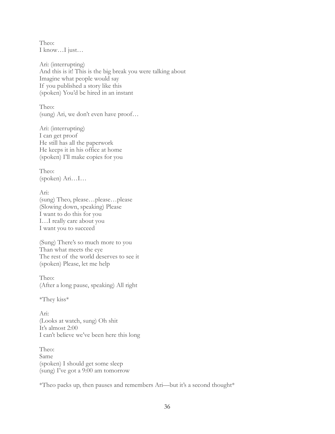Theo: I know…I just…

Ari: (interrupting) And this is it! This is the big break you were talking about Imagine what people would say If you published a story like this (spoken) You'd be hired in an instant

Theo: (sung) Ari, we don't even have proof…

Ari: (interrupting) I can get proof He still has all the paperwork He keeps it in his office at home (spoken) I'll make copies for you

Theo: (spoken) Ari…I…

Ari: (sung) Theo, please…please…please (Slowing down, speaking) Please I want to do this for you I…I really care about you I want you to succeed

(Sung) There's so much more to you Than what meets the eye The rest of the world deserves to see it (spoken) Please, let me help

Theo: (After a long pause, speaking) All right

\*They kiss\*

Ari: (Looks at watch, sung) Oh shit It's almost 2:00 I can't believe we've been here this long

Theo: Same (spoken) I should get some sleep (sung) I've got a 9:00 am tomorrow

\*Theo packs up, then pauses and remembers Ari—but it's a second thought\*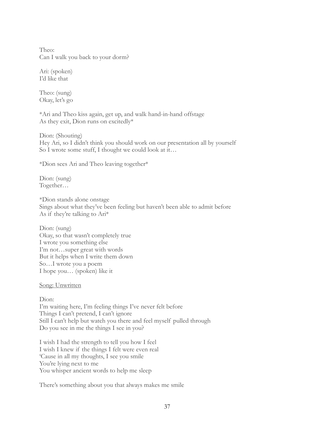Theo: Can I walk you back to your dorm?

Ari: (spoken) I'd like that

Theo: (sung) Okay, let's go

\*Ari and Theo kiss again, get up, and walk hand-in-hand offstage As they exit, Dion runs on excitedly\*

Dion: (Shouting) Hey Ari, so I didn't think you should work on our presentation all by yourself So I wrote some stuff, I thought we could look at it…

\*Dion sees Ari and Theo leaving together\*

Dion: (sung) Together…

\*Dion stands alone onstage Sings about what they've been feeling but haven't been able to admit before As if they're talking to Ari\*

Dion: (sung) Okay, so that wasn't completely true I wrote you something else I'm not…super great with words But it helps when I write them down So…I wrote you a poem I hope you… (spoken) like it

Song: Unwritten

Dion: I'm waiting here, I'm feeling things I've never felt before Things I can't pretend, I can't ignore Still I can't help but watch you there and feel myself pulled through Do you see in me the things I see in you?

I wish I had the strength to tell you how I feel I wish I knew if the things I felt were even real 'Cause in all my thoughts, I see you smile You're lying next to me You whisper ancient words to help me sleep

There's something about you that always makes me smile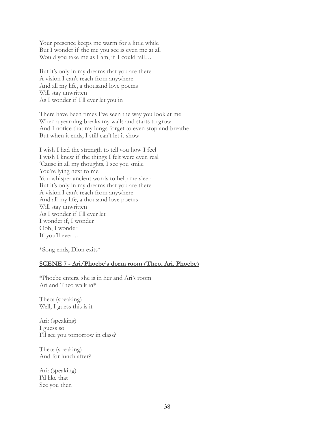Your presence keeps me warm for a little while But I wonder if the me you see is even me at all Would you take me as I am, if I could fall…

But it's only in my dreams that you are there A vision I can't reach from anywhere And all my life, a thousand love poems Will stay unwritten As I wonder if I'll ever let you in

There have been times I've seen the way you look at me When a yearning breaks my walls and starts to grow And I notice that my lungs forget to even stop and breathe But when it ends, I still can't let it show

I wish I had the strength to tell you how I feel I wish I knew if the things I felt were even real 'Cause in all my thoughts, I see you smile You're lying next to me You whisper ancient words to help me sleep But it's only in my dreams that you are there A vision I can't reach from anywhere And all my life, a thousand love poems Will stay unwritten As I wonder if I'll ever let I wonder if, I wonder Ooh, I wonder If you'll ever…

\*Song ends, Dion exits\*

### **SCENE 7 - Ari/Phoebe's dorm room (Theo, Ari, Phoebe)**

\*Phoebe enters, she is in her and Ari's room Ari and Theo walk in\*

Theo: (speaking) Well, I guess this is it

Ari: (speaking) I guess so I'll see you tomorrow in class?

Theo: (speaking) And for lunch after?

Ari: (speaking) I'd like that See you then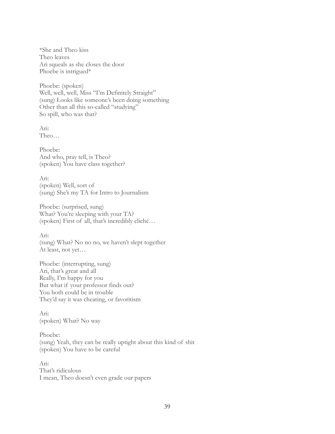\*She and Theo kiss Theo leaves Ari squeals as she closes the door Phoebe is intrigued\*

Phoebe: (spoken) Well, well, well, Miss "I'm Definitely Straight" (sung) Looks like someone's been doing something Other than all this so-called "studying" So spill, who was that?

Ari: Theo…

Phoebe: And who, pray tell, is Theo? (spoken) You have class together?

Ari: (spoken) Well, sort of (sung) She's my TA for Intro to Journalism

Phoebe: (surprised, sung) What? You're sleeping with your TA? (spoken) First of all, that's incredibly cliché…

Ari: (sung) What? No no no, we haven't slept together At least, not yet…

Phoebe: (interrupting, sung) Ari, that's great and all Really, I'm happy for you But what if your professor finds out? You both could be in trouble They'd say it was cheating, or favoritism

Ari: (spoken) What? No way

Phoebe: (sung) Yeah, they can be really uptight about this kind of shit (spoken) You have to be careful

Ari: That's ridiculous I mean, Theo doesn't even grade our papers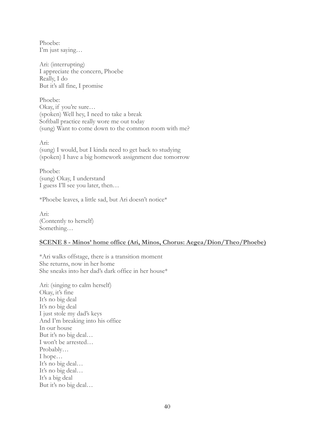Phoebe: I'm just saying…

Ari: (interrupting) I appreciate the concern, Phoebe Really, I do But it's all fine, I promise

Phoebe: Okay, if you're sure… (spoken) Well hey, I need to take a break Softball practice really wore me out today (sung) Want to come down to the common room with me?

Ari: (sung) I would, but I kinda need to get back to studying (spoken) I have a big homework assignment due tomorrow

Phoebe: (sung) Okay, I understand I guess I'll see you later, then…

\*Phoebe leaves, a little sad, but Ari doesn't notice\*

Ari: (Contently to herself) Something…

### **SCENE 8 - Minos' home office (Ari, Minos, Chorus: Aegea/Dion/Theo/Phoebe)**

\*Ari walks offstage, there is a transition moment She returns, now in her home She sneaks into her dad's dark office in her house\*

Ari: (singing to calm herself) Okay, it's fine It's no big deal It's no big deal I just stole my dad's keys And I'm breaking into his office In our house But it's no big deal… I won't be arrested… Probably… I hope… It's no big deal… It's no big deal… It's a big deal But it's no big deal…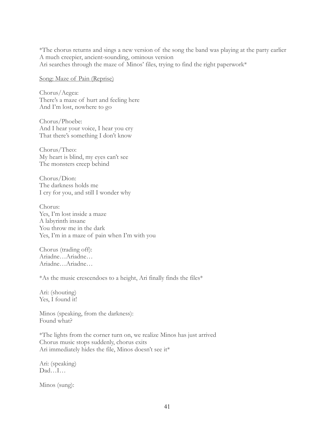\*The chorus returns and sings a new version of the song the band was playing at the party earlier A much creepier, ancient-sounding, ominous version Ari searches through the maze of Minos' files, trying to find the right paperwork\*

Song: Maze of Pain (Reprise)

Chorus/Aegea: There's a maze of hurt and feeling here And I'm lost, nowhere to go

Chorus/Phoebe: And I hear your voice, I hear you cry That there's something I don't know

Chorus/Theo: My heart is blind, my eyes can't see The monsters creep behind

Chorus/Dion: The darkness holds me I cry for you, and still I wonder why

Chorus: Yes, I'm lost inside a maze A labyrinth insane You throw me in the dark Yes, I'm in a maze of pain when I'm with you

Chorus (trading off): Ariadne…Ariadne… Ariadne…Ariadne…

\*As the music crescendoes to a height, Ari finally finds the files\*

Ari: (shouting) Yes, I found it!

Minos (speaking, from the darkness): Found what?

\*The lights from the corner turn on, we realize Minos has just arrived Chorus music stops suddenly, chorus exits Ari immediately hides the file, Minos doesn't see it\*

Ari: (speaking) Dad…I…

Minos (sung):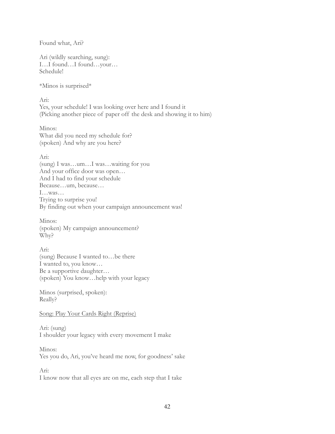Found what, Ari?

Ari (wildly searching, sung): I…I found…I found…your… Schedule!

\*Minos is surprised\*

Ari:

Yes, your schedule! I was looking over here and I found it (Picking another piece of paper off the desk and showing it to him)

Minos: What did you need my schedule for? (spoken) And why are you here?

Ari:

(sung) I was…um…I was…waiting for you And your office door was open… And I had to find your schedule Because…um, because… I…was… Trying to surprise you! By finding out when your campaign announcement was!

Minos: (spoken) My campaign announcement? Why?

Ari: (sung) Because I wanted to…be there I wanted to, you know… Be a supportive daughter… (spoken) You know…help with your legacy

Minos (surprised, spoken): Really?

### Song: Play Your Cards Right (Reprise)

Ari: (sung) I shoulder your legacy with every movement I make

Minos: Yes you do, Ari, you've heard me now, for goodness' sake

Ari:

I know now that all eyes are on me, each step that I take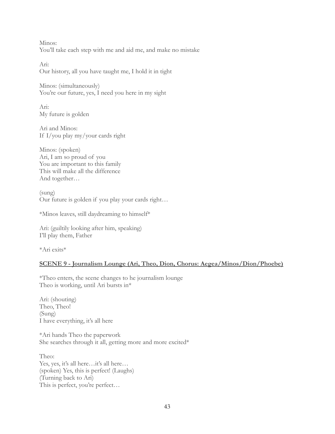Minos: You'll take each step with me and aid me, and make no mistake

Ari: Our history, all you have taught me, I hold it in tight

Minos: (simultaneously) You're our future, yes, I need you here in my sight

Ari: My future is golden

Ari and Minos: If I/you play my/your cards right

Minos: (spoken) Ari, I am so proud of you You are important to this family This will make all the difference And together…

(sung) Our future is golden if you play your cards right…

\*Minos leaves, still daydreaming to himself\*

Ari: (guiltily looking after him, speaking) I'll play them, Father

\*Ari exits\*

# **SCENE 9 - Journalism Lounge (Ari, Theo, Dion, Chorus: Aegea/Minos/Dion/Phoebe)**

\*Theo enters, the scene changes to he journalism lounge Theo is working, until Ari bursts in\*

Ari: (shouting) Theo, Theo! (Sung) I have everything, it's all here

\*Ari hands Theo the paperwork She searches through it all, getting more and more excited\*

Theo: Yes, yes, it's all here...it's all here... (spoken) Yes, this is perfect! (Laughs) (Turning back to Ari) This is perfect, you're perfect…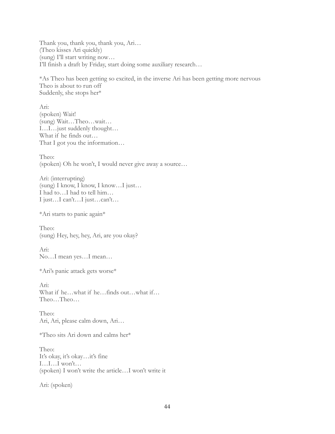Thank you, thank you, thank you, Ari… (Theo kisses Ari quickly) (sung) I'll start writing now… I'll finish a draft by Friday, start doing some auxiliary research…

\*As Theo has been getting so excited, in the inverse Ari has been getting more nervous Theo is about to run off Suddenly, she stops her\*

Ari: (spoken) Wait! (sung) Wait…Theo…wait… I…I…just suddenly thought… What if he finds out… That I got you the information…

Theo: (spoken) Oh he won't, I would never give away a source…

Ari: (interrupting) (sung) I know, I know, I know…I just… I had to…I had to tell him… I just…I can't…I just…can't…

\*Ari starts to panic again\*

Theo: (sung) Hey, hey, hey, Ari, are you okay?

Ari: No…I mean yes…I mean…

\*Ari's panic attack gets worse\*

Ari: What if he…what if he…finds out…what if… Theo…Theo…

Theo: Ari, Ari, please calm down, Ari…

\*Theo sits Ari down and calms her\*

Theo: It's okay, it's okay…it's fine I…I…I won't… (spoken) I won't write the article…I won't write it

Ari: (spoken)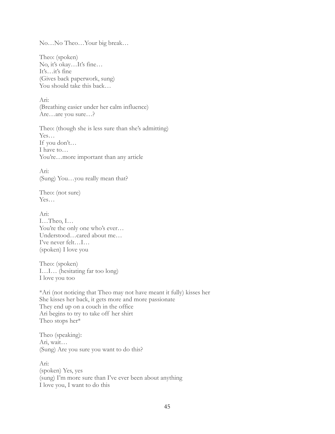No…No Theo…Your big break…

Theo: (spoken) No, it's okay…It's fine… It's…it's fine (Gives back paperwork, sung) You should take this back…

Ari: (Breathing easier under her calm influence) Are…are you sure…?

Theo: (though she is less sure than she's admitting) Yes… If you don't… I have to… You're…more important than any article

Ari: (Sung) You…you really mean that?

Theo: (not sure) Yes…

Ari: I…Theo, I… You're the only one who's ever... Understood…cared about me… I've never felt…I… (spoken) I love you

Theo: (spoken) I…I… (hesitating far too long) I love you too

\*Ari (not noticing that Theo may not have meant it fully) kisses her She kisses her back, it gets more and more passionate They end up on a couch in the office Ari begins to try to take off her shirt Theo stops her\*

Theo (speaking): Ari, wait… (Sung) Are you sure you want to do this?

Ari: (spoken) Yes, yes (sung) I'm more sure than I've ever been about anything I love you, I want to do this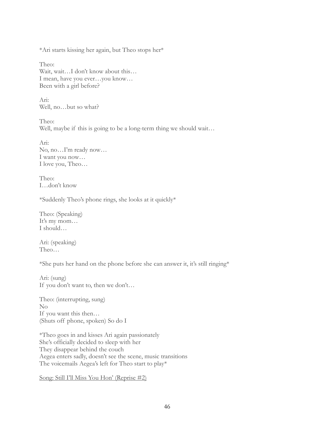\*Ari starts kissing her again, but Theo stops her\*

Theo: Wait, wait...I don't know about this... I mean, have you ever…you know… Been with a girl before?

Ari: Well, no…but so what?

Theo: Well, maybe if this is going to be a long-term thing we should wait...

Ari: No, no…I'm ready now… I want you now… I love you, Theo…

Theo: I…don't know

\*Suddenly Theo's phone rings, she looks at it quickly\*

Theo: (Speaking) It's my mom… I should…

Ari: (speaking) Theo…

\*She puts her hand on the phone before she can answer it, it's still ringing\*

Ari: (sung) If you don't want to, then we don't…

Theo: (interrupting, sung) No If you want this then… (Shuts off phone, spoken) So do I

\*Theo goes in and kisses Ari again passionately She's officially decided to sleep with her They disappear behind the couch Aegea enters sadly, doesn't see the scene, music transitions The voicemails Aegea's left for Theo start to play\*

Song: Still I'll Miss You Hon' (Reprise #2)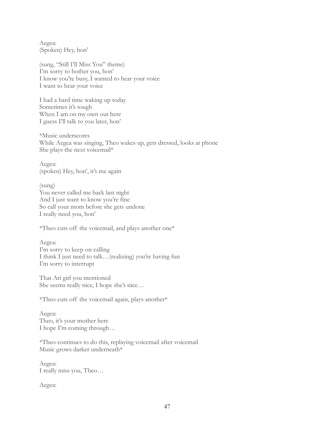Aegea: (Spoken) Hey, hon'

(sung, "Still I'll Miss You" theme) I'm sorry to bother you, hon' I know you're busy, I wanted to hear your voice I want to hear your voice

I had a hard time waking up today Sometimes it's tough When I am on my own out here I guess I'll talk to you later, hon'

\*Music underscores While Aegea was singing, Theo wakes up, gets dressed, looks at phone She plays the next voicemail\*

Aegea: (spoken) Hey, hon', it's me again

(sung) You never called me back last night And I just want to know you're fine So call your mom before she gets undone I really need you, hon'

\*Theo cuts off the voicemail, and plays another one\*

Aegea: I'm sorry to keep on calling I think I just need to talk…(realizing) you're having fun I'm sorry to interrupt

That Ari girl you mentioned She seems really nice, I hope she's nice…

\*Theo cuts off the voicemail again, plays another\*

Aegea: Theo, it's your mother here I hope I'm coming through…

\*Theo continues to do this, replaying voicemail after voicemail Music grows darker underneath\*

Aegea: I really miss you, Theo…

Aegea: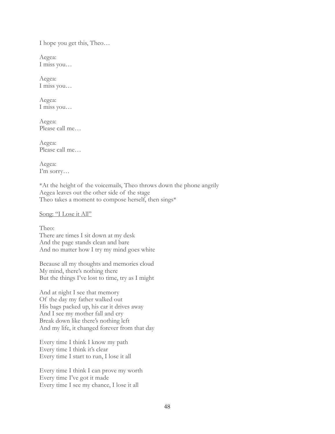I hope you get this, Theo…

Aegea: I miss you…

Aegea: I miss you…

Aegea: I miss you…

Aegea: Please call me…

Aegea: Please call me…

Aegea: I'm sorry…

\*At the height of the voicemails, Theo throws down the phone angrily Aegea leaves out the other side of the stage Theo takes a moment to compose herself, then sings\*

Song: "I Lose it All"

Theo: There are times I sit down at my desk And the page stands clean and bare And no matter how I try my mind goes white

Because all my thoughts and memories cloud My mind, there's nothing there But the things I've lost to time, try as I might

And at night I see that memory Of the day my father walked out His bags packed up, his car it drives away And I see my mother fall and cry Break down like there's nothing left And my life, it changed forever from that day

Every time I think I know my path Every time I think it's clear Every time I start to run, I lose it all

Every time I think I can prove my worth Every time I've got it made Every time I see my chance, I lose it all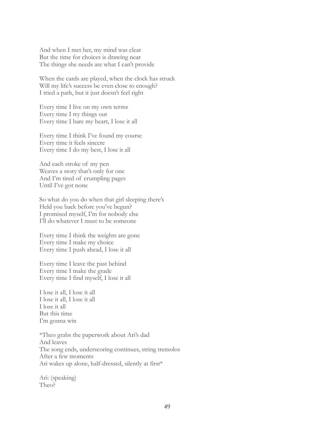And when I met her, my mind was clear But the time for choices is drawing near The things she needs are what I can't provide

When the cards are played, when the clock has struck Will my life's success be even close to enough? I tried a path, but it just doesn't feel right

Every time I live on my own terms Every time I try things out Every time I bare my heart, I lose it all

Every time I think I've found my course Every time it feels sincere Every time I do my best, I lose it all

And each stroke of my pen Weaves a story that's only for one And I'm tired of crumpling pages Until I've got none

So what do you do when that girl sleeping there's Held you back before you've begun? I promised myself, I'm for nobody else I'll do whatever I must to be someone

Every time I think the weights are gone Every time I make my choice Every time I push ahead, I lose it all

Every time I leave the past behind Every time I make the grade Every time I find myself, I lose it all

I lose it all, I lose it all I lose it all, I lose it all I lose it all But this time I'm gonna win

\*Theo grabs the paperwork about Ari's dad And leaves The song ends, underscoring continues, string tremolos After a few moments Ari wakes up alone, half-dressed, silently at first\*

Ari: (speaking) Theo?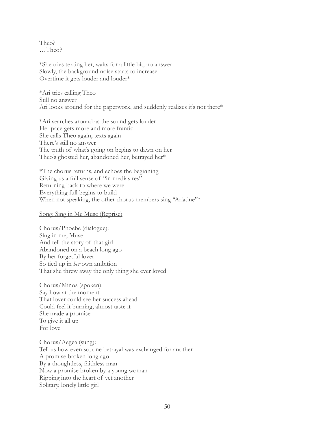Theo? …Theo?

\*She tries texting her, waits for a little bit, no answer Slowly, the background noise starts to increase Overtime it gets louder and louder\*

\*Ari tries calling Theo Still no answer Ari looks around for the paperwork, and suddenly realizes it's not there\*

\*Ari searches around as the sound gets louder Her pace gets more and more frantic She calls Theo again, texts again There's still no answer The truth of what's going on begins to dawn on her Theo's ghosted her, abandoned her, betrayed her\*

\*The chorus returns, and echoes the beginning Giving us a full sense of "in medias res" Returning back to where we were Everything full begins to build When not speaking, the other chorus members sing "Ariadne"\*

#### Song: Sing in Me Muse (Reprise)

Chorus/Phoebe (dialogue): Sing in me, Muse And tell the story of that girl Abandoned on a beach long ago By her forgetful lover So tied up in *her* own ambition That she threw away the only thing she ever loved

Chorus/Minos (spoken): Say how at the moment That lover could see her success ahead Could feel it burning, almost taste it She made a promise To give it all up For love

Chorus/Aegea (sung): Tell us how even so, one betrayal was exchanged for another A promise broken long ago By a thoughtless, faithless man Now a promise broken by a young woman Ripping into the heart of yet another Solitary, lonely little girl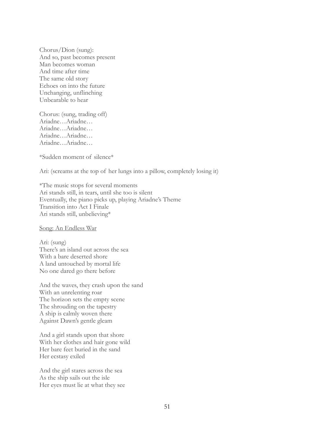Chorus/Dion (sung): And so, past becomes present Man becomes woman And time after time The same old story Echoes on into the future Unchanging, unflinching Unbearable to hear

Chorus: (sung, trading off) Ariadne…Ariadne… Ariadne…Ariadne… Ariadne…Ariadne… Ariadne…Ariadne…

\*Sudden moment of silence\*

Ari: (screams at the top of her lungs into a pillow, completely losing it)

\*The music stops for several moments Ari stands still, in tears, until she too is silent Eventually, the piano picks up, playing Ariadne's Theme Transition into Act I Finale Ari stands still, unbelieving\*

Song: An Endless War

Ari: (sung) There's an island out across the sea With a bare deserted shore A land untouched by mortal life No one dared go there before

And the waves, they crash upon the sand With an unrelenting roar The horizon sets the empty scene The shrouding on the tapestry A ship is calmly woven there Against Dawn's gentle gleam

And a girl stands upon that shore With her clothes and hair gone wild Her bare feet buried in the sand Her ecstasy exiled

And the girl stares across the sea As the ship sails out the isle Her eyes must lie at what they see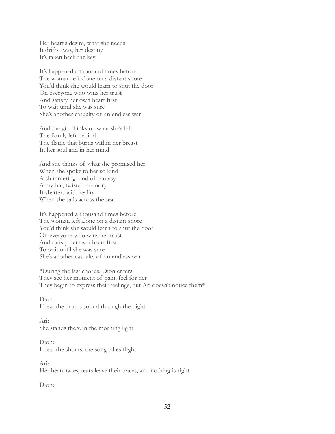Her heart's desire, what she needs It drifts away, her destiny It's taken back the key

It's happened a thousand times before The woman left alone on a distant shore You'd think she would learn to shut the door On everyone who wins her trust And satisfy her own heart first To wait until she was sure She's another casualty of an endless war

And the girl thinks of what she's left The family left behind The flame that burns within her breast In her soul and in her mind

And she thinks of what she promised her When she spoke to her so kind A shimmering kind of fantasy A mythic, twisted memory It shatters with reality When she sails across the sea

It's happened a thousand times before The woman left alone on a distant shore You'd think she would learn to shut the door On everyone who wins her trust And satisfy her own heart first To wait until she was sure She's another casualty of an endless war

\*During the last chorus, Dion enters They see her moment of pain, feel for her They begin to express their feelings, but Ari doesn't notice them\*

Dion: I hear the drums sound through the night

Ari: She stands there in the morning light

Dion: I hear the shouts, the song takes flight

Ari: Her heart races, tears leave their traces, and nothing is right

Dion: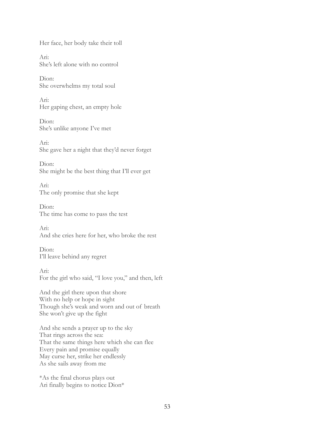Her face, her body take their toll

Ari: She's left alone with no control

Dion: She overwhelms my total soul

Ari: Her gaping chest, an empty hole

D<sub>ion</sub>: She's unlike anyone I've met

Ari: She gave her a night that they'd never forget

Dion: She might be the best thing that I'll ever get

Ari: The only promise that she kept

D<sub>ion</sub>: The time has come to pass the test

Ari: And she cries here for her, who broke the rest

Dion: I'll leave behind any regret

Ari: For the girl who said, "I love you," and then, left

And the girl there upon that shore With no help or hope in sight Though she's weak and worn and out of breath She won't give up the fight

And she sends a prayer up to the sky That rings across the sea: That the same things here which she can flee Every pain and promise equally May curse her, strike her endlessly As she sails away from me

\*As the final chorus plays out Ari finally begins to notice Dion\*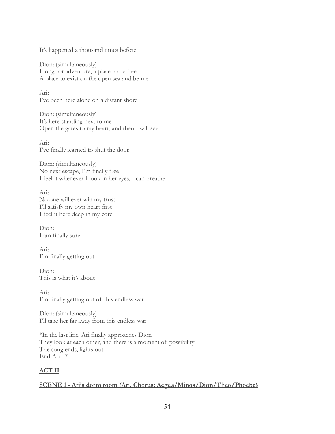It's happened a thousand times before

Dion: (simultaneously) I long for adventure, a place to be free A place to exist on the open sea and be me

Ari: I've been here alone on a distant shore

Dion: (simultaneously) It's here standing next to me Open the gates to my heart, and then I will see

Ari: I've finally learned to shut the door

Dion: (simultaneously) No next escape, I'm finally free I feel it whenever I look in her eyes, I can breathe

Ari: No one will ever win my trust I'll satisfy my own heart first I feel it here deep in my core

D<sub>ion</sub>: I am finally sure

Ari: I'm finally getting out

Dion: This is what it's about

Ari: I'm finally getting out of this endless war

Dion: (simultaneously) I'll take her far away from this endless war

\*In the last line, Ari finally approaches Dion They look at each other, and there is a moment of possibility The song ends, lights out End Act I\*

# **ACT II**

# **SCENE 1 - Ari's dorm room (Ari, Chorus: Aegea/Minos/Dion/Theo/Phoebe)**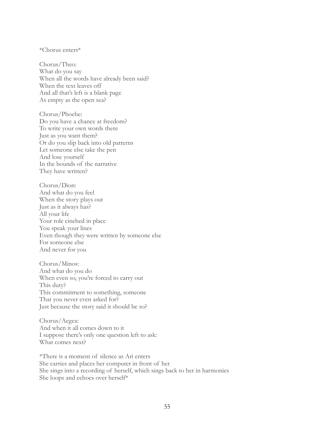#### \*Chorus enters\*

Chorus/Theo: What do you say When all the words have already been said? When the text leaves off And all that's left is a blank page As empty as the open sea?

Chorus/Phoebe: Do you have a chance at freedom? To write your own words there Just as you want them? Or do you slip back into old patterns Let someone else take the pen And lose yourself In the bounds of the narrative They have written?

Chorus/Dion: And what do you feel When the story plays out Just as it always has? All your life Your role cinched in place You speak your lines Even though they were written by someone else For someone else And never for you

Chorus/Minos: And what do you do When even so, you're forced to carry out This duty? This commitment to something, someone That you never even asked for? Just because the story said it should be so?

Chorus/Aegea: And when it all comes down to it I suppose there's only one question left to ask: What comes next?

\*There is a moment of silence as Ari enters She carries and places her computer in front of her She sings into a recording of herself, which sings back to her in harmonies She loops and echoes over herself\*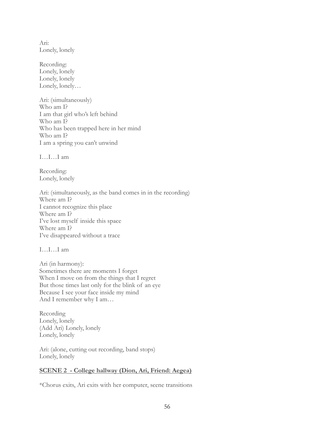Ari: Lonely, lonely

Recording: Lonely, lonely Lonely, lonely Lonely, lonely…

Ari: (simultaneously) Who am I? I am that girl who's left behind Who am I? Who has been trapped here in her mind Who am I? I am a spring you can't unwind

I…I…I am

Recording: Lonely, lonely

Ari: (simultaneously, as the band comes in in the recording) Where am I? I cannot recognize this place Where am I? I've lost myself inside this space Where am I? I've disappeared without a trace

I…I…I am

Ari (in harmony): Sometimes there are moments I forget When I move on from the things that I regret But those times last only for the blink of an eye Because I see your face inside my mind And I remember why I am…

Recording Lonely, lonely (Add Ari) Lonely, lonely Lonely, lonely

Ari: (alone, cutting out recording, band stops) Lonely, lonely

### **SCENE 2 - College hallway (Dion, Ari, Friend: Aegea)**

\*Chorus exits, Ari exits with her computer, scene transitions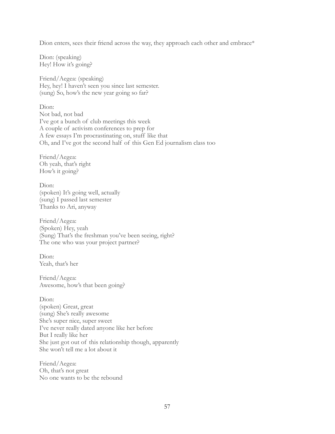Dion enters, sees their friend across the way, they approach each other and embrace\*

Dion: (speaking) Hey! How it's going?

Friend/Aegea: (speaking) Hey, hey! I haven't seen you since last semester. (sung) So, how's the new year going so far?

Dion<sup>.</sup> Not bad, not bad I've got a bunch of club meetings this week A couple of activism conferences to prep for A few essays I'm procrastinating on, stuff like that Oh, and I've got the second half of this Gen Ed journalism class too

Friend/Aegea: Oh yeah, that's right How's it going?

Dion: (spoken) It's going well, actually (sung) I passed last semester Thanks to Ari, anyway

Friend/Aegea: (Spoken) Hey, yeah (Sung) That's the freshman you've been seeing, right? The one who was your project partner?

Dion<sup>.</sup> Yeah, that's her

Friend/Aegea: Awesome, how's that been going?

Dion: (spoken) Great, great (sung) She's really awesome She's super nice, super sweet I've never really dated anyone like her before But I really like her She just got out of this relationship though, apparently She won't tell me a lot about it

Friend/Aegea: Oh, that's not great No one wants to be the rebound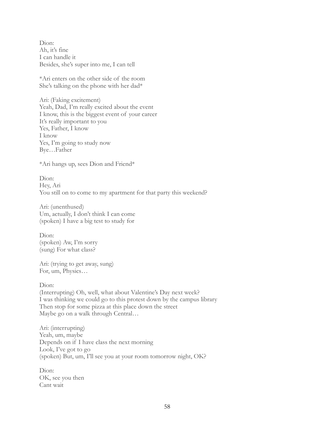Dion: Ah, it's fine I can handle it Besides, she's super into me, I can tell

\*Ari enters on the other side of the room She's talking on the phone with her dad\*

Ari: (Faking excitement) Yeah, Dad, I'm really excited about the event I know, this is the biggest event of your career It's really important to you Yes, Father, I know I know Yes, I'm going to study now Bye…Father

\*Ari hangs up, sees Dion and Friend\*

Dion: Hey, Ari You still on to come to my apartment for that party this weekend?

Ari: (unenthused) Um, actually, I don't think I can come (spoken) I have a big test to study for

Dion: (spoken) Aw, I'm sorry (sung) For what class?

Ari: (trying to get away, sung) For, um, Physics…

Dion: (Interrupting) Oh, well, what about Valentine's Day next week? I was thinking we could go to this protest down by the campus library Then stop for some pizza at this place down the street Maybe go on a walk through Central…

Ari: (interrupting) Yeah, um, maybe Depends on if I have class the next morning Look, I've got to go (spoken) But, um, I'll see you at your room tomorrow night, OK?

Dion: OK, see you then Cant wait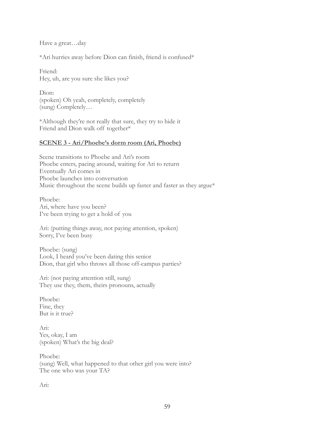Have a great…day

\*Ari hurries away before Dion can finish, friend is confused\*

Friend: Hey, uh, are you sure she likes you?

Dion: (spoken) Oh yeah, completely, completely (sung) Completely…

\*Although they're not really that sure, they try to hide it Friend and Dion walk off together\*

### **SCENE 3 - Ari/Phoebe's dorm room (Ari, Phoebe)**

Scene transitions to Phoebe and Ari's room Phoebe enters, pacing around, waiting for Ari to return Eventually Ari comes in Phoebe launches into conversation Music throughout the scene builds up faster and faster as they argue\*

Phoebe: Ari, where have you been? I've been trying to get a hold of you

Ari: (putting things away, not paying attention, spoken) Sorry, I've been busy

Phoebe: (sung) Look, I heard you've been dating this senior Dion, that girl who throws all those off-campus parties?

Ari: (not paying attention still, sung) They use they, them, theirs pronouns, actually

Phoebe: Fine, they But is it true?

Ari: Yes, okay, I am (spoken) What's the big deal?

Phoebe: (sung) Well, what happened to that other girl you were into? The one who was your TA?

Ari: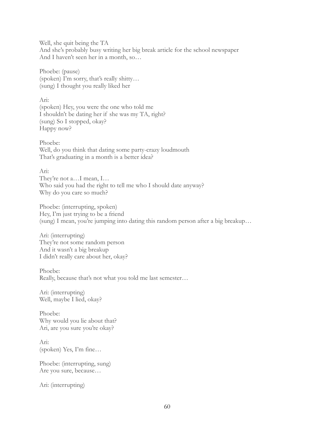Well, she quit being the TA And she's probably busy writing her big break article for the school newspaper And I haven't seen her in a month, so…

Phoebe: (pause) (spoken) I'm sorry, that's really shitty… (sung) I thought you really liked her

Ari:

(spoken) Hey, you were the one who told me I shouldn't be dating her if she was my TA, right? (sung) So I stopped, okay? Happy now?

Phoebe: Well, do you think that dating some party-crazy loudmouth That's graduating in a month is a better idea?

Ari:

They're not a…I mean, I… Who said you had the right to tell me who I should date anyway? Why do you care so much?

Phoebe: (interrupting, spoken) Hey, I'm just trying to be a friend (sung) I mean, you're jumping into dating this random person after a big breakup…

Ari: (interrupting) They're not some random person And it wasn't a big breakup I didn't really care about her, okay?

Phoebe: Really, because that's not what you told me last semester…

Ari: (interrupting) Well, maybe I lied, okay?

Phoebe: Why would you lie about that? Ari, are you sure you're okay?

Ari: (spoken) Yes, I'm fine…

Phoebe: (interrupting, sung) Are you sure, because…

Ari: (interrupting)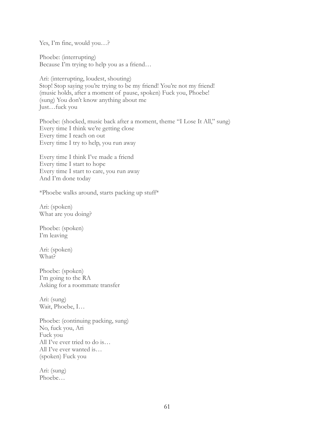Yes, I'm fine, would you…?

Phoebe: (interrupting) Because I'm trying to help you as a friend…

Ari: (interrupting, loudest, shouting) Stop! Stop saying you're trying to be my friend! You're not my friend! (music holds, after a moment of pause, spoken) Fuck you, Phoebe! (sung) You don't know anything about me Just…fuck you

Phoebe: (shocked, music back after a moment, theme "I Lose It All," sung) Every time I think we're getting close Every time I reach on out Every time I try to help, you run away

Every time I think I've made a friend Every time I start to hope Every time I start to care, you run away And I'm done today

\*Phoebe walks around, starts packing up stuff\*

Ari: (spoken) What are you doing?

Phoebe: (spoken) I'm leaving

Ari: (spoken) What?

Phoebe: (spoken) I'm going to the RA Asking for a roommate transfer

Ari: (sung) Wait, Phoebe, I…

Phoebe: (continuing packing, sung) No, fuck you, Ari Fuck you All I've ever tried to do is… All I've ever wanted is… (spoken) Fuck you

Ari: (sung) Phoebe…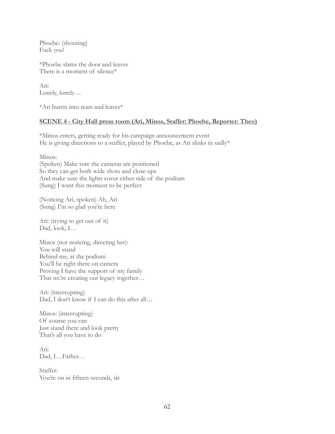Phoebe: (shouting) Fuck you!

\*Phoebe slams the door and leaves There is a moment of silence\*

Ari: Lonely, lonely…

\*Ari bursts into tears and leaves\*

## **SCENE 4 - City Hall press room (Ari, Minos, Staffer: Phoebe, Reporter: Theo)**

\*Minos enters, getting ready for his campaign announcement event He is giving directions to a staffer, played by Phoebe, as Ari slinks in sadly\*

Minos: (Spoken) Make sure the cameras are positioned So they can get both wide shots and close-ups And make sure the lights cover either side of the podium (Sung) I want this moment to be perfect

(Noticing Ari, spoken) Ah, Ari (Sung) I'm so glad you're here

Ari: (trying to get out of it) Dad, look, I…

Minos (not noticing, directing her): You will stand Behind me, at the podium You'll be right there on camera Proving I have the support of my family That we're creating our legacy together...

Ari: (interrupting) Dad, I don't know if I can do this after all…

Minos: (interrupting) Of course you can Just stand there and look pretty That's all you have to do

Ari: Dad, I…Father…

Staffer: You're on in fifteen seconds, sir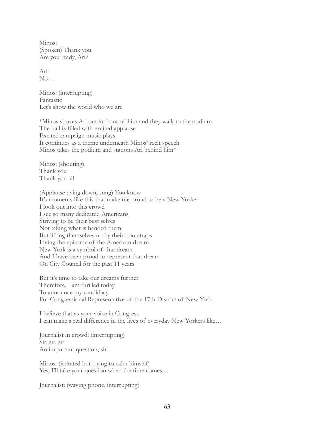Minos: (Spoken) Thank you Are you ready, Ari?

Ari: No…

Minos: (interrupting) Fantastic Let's show the world who we are

\*Minos shoves Ari out in front of him and they walk to the podium The hall is filled with excited applause Excited campaign music plays It continues as a theme underneath Minos' recit speech Minos takes the podium and stations Ari behind him\*

Minos: (shouting) Thank you Thank you all

(Applause dying down, sung) You know It's moments like this that make me proud to be a New Yorker I look out into this crowd I see so many dedicated Americans Striving to be their best selves Not taking what is handed them But lifting themselves up by their bootstraps Living the epitome of the American dream New York is a symbol of that dream And I have been proud to represent that dream On City Council for the past 11 years

But it's time to take our dreams further Therefore, I am thrilled today To announce my candidacy For Congressional Representative of the 17th District of New York

I believe that as your voice in Congress I can make a real difference in the lives of everyday New Yorkers like…

Journalist in crowd: (interrupting) Sir, sir, sir An important question, sir

Minos: (irritated but trying to calm himself) Yes, I'll take your question when the time comes…

Journalist: (waving phone, interrupting)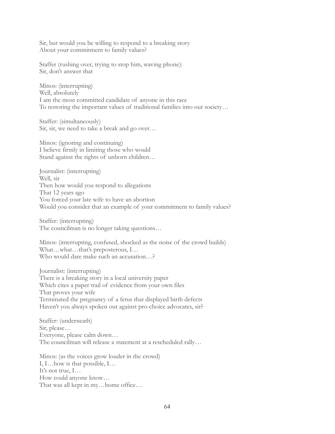Sir, but would you be willing to respond to a breaking story About your commitment to family values?

Staffer (rushing over, trying to stop him, waving phone): Sir, don't answer that

Minos: (interrupting) Well, absolutely I am the most committed candidate of anyone in this race To restoring the important values of traditional families into our society…

Staffer: (simultaneously) Sir, sir, we need to take a break and go over…

Minos: (ignoring and continuing) I believe firmly in limiting those who would Stand against the rights of unborn children…

Journalist: (interrupting) Well, sir Then how would you respond to allegations That 12 years ago You forced your late wife to have an abortion Would you consider that an example of your commitment to family values?

Staffer: (interrupting) The councilman is no longer taking questions…

Minos: (interrupting, confused, shocked as the noise of the crowd builds) What…what…that's preposterous, I… Who would dare make such an accusation…?

Journalist: (interrupting) There is a breaking story in a local university paper Which cites a paper trail of evidence from your own files That proves your wife Terminated the pregnancy of a fetus that displayed birth defects Haven't you always spoken out against pro-choice advocates, sir?

Staffer: (underneath) Sir, please… Everyone, please calm down… The councilman will release a statement at a rescheduled rally…

Minos: (as the voices grow louder in the crowd) I, I…how is that possible, I… It's not true, I… How could anyone know… That was all kept in my…home office…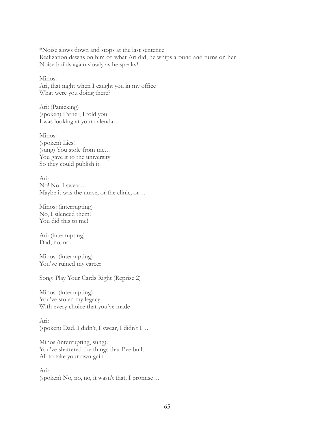\*Noise slows down and stops at the last sentence Realization dawns on him of what Ari did, he whips around and turns on her Noise builds again slowly as he speaks\*

Minos: Ari, that night when I caught you in my office What were you doing there?

Ari: (Panicking) (spoken) Father, I told you I was looking at your calendar…

Minos: (spoken) Lies! (sung) You stole from me… You gave it to the university So they could publish it!

Ari: No! No, I swear… Maybe it was the nurse, or the clinic, or…

Minos: (interrupting) No, I silenced them! You did this to me!

Ari: (interrupting) Dad, no, no…

Minos: (interrupting) You've ruined my career

Song: Play Your Cards Right (Reprise 2)

Minos: (interrupting) You've stolen my legacy With every choice that you've made

Ari: (spoken) Dad, I didn't, I swear, I didn't I…

Minos (interrupting, sung): You've shattered the things that I've built All to take your own gain

Ari: (spoken) No, no, no, it wasn't that, I promise…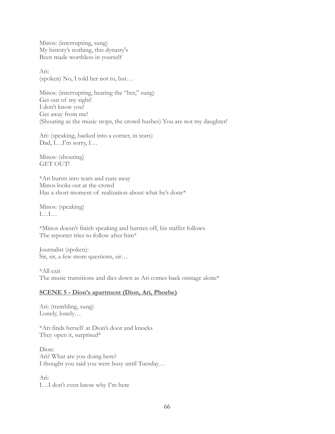Minos: (interrupting, sung) My history's nothing, this dynasty's Been made worthless in yourself

Ari: (spoken) No, I told her not to, but…

Minos: (interrupting, hearing the "her," sung) Get out of my sight! I don't know you! Get away from me! (Shouting as the music stops, the crowd hushes) You are not my daughter!

Ari: (speaking, backed into a corner, in tears) Dad, I…I'm sorry, I…

Minos: (shouting) GET OUT!

\*Ari bursts into tears and runs away Minos looks out at the crowd Has a short moment of realization about what he's done\*

Minos: (speaking) I…I…

\*Minos doesn't finish speaking and hurries off, his staffer follows The reporter tries to follow after him\*

Journalist (spoken): Sir, sir, a few more questions, sir…

\*All exit The music transitions and dies down as Ari comes back onstage alone\*

### **SCENE 5 - Dion's apartment (Dion, Ari, Phoebe)**

Ari: (trembling, sung) Lonely, lonely…

\*Ari finds herself at Dion's door and knocks They open it, surprised\*

Dion: Ari? What are you doing here? I thought you said you were busy until Tuesday…

Ari: I…I don't even know why I'm here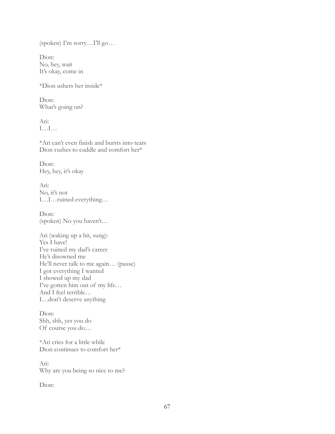(spoken) I'm sorry…I'll go…

Dion: No, hey, wait It's okay, come in

\*Dion ushers her inside\*

Dion: What's going on?

Ari: I…I…

\*Ari can't even finish and bursts into tears Dion rushes to cuddle and comfort her\*

Dion: Hey, hey, it's okay

Ari: No, it's not I…I…ruined everything…

Dion: (spoken) No you haven't…

Ari (waking up a bit, sung): Yes I have! I've ruined my dad's career He's disowned me He'll never talk to me again… (pause) I got everything I wanted I showed up my dad I've gotten him out of my life… And I feel terrible… I…don't deserve anything

Dion: Shh, shh, yes you do Of course you do…

\*Ari cries for a little while Dion continues to comfort her\*

Ari: Why are you being so nice to me?

Dion: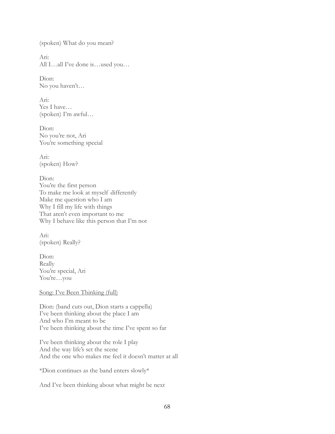(spoken) What do you mean?

Ari: All I…all I've done is…used you…

Dion: No you haven't…

Ari: Yes I have… (spoken) I'm awful…

Dion: No you're not, Ari You're something special

Ari: (spoken) How?

Dion: You're the first person To make me look at myself differently Make me question who I am Why I fill my life with things That aren't even important to me Why I behave like this person that I'm not

Ari: (spoken) Really?

Dion: Really You're special, Ari You're…you

Song: I've Been Thinking (full)

Dion: (band cuts out, Dion starts a cappella) I've been thinking about the place I am And who I'm meant to be I've been thinking about the time I've spent so far

I've been thinking about the role I play And the way life's set the scene And the one who makes me feel it doesn't matter at all

\*Dion continues as the band enters slowly\*

And I've been thinking about what might be next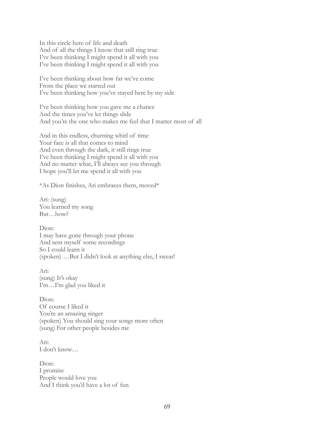In this circle here of life and death And of all the things I know that still ring true I've been thinking I might spend it all with you I've been thinking I might spend it all with you

I've been thinking about how far we've come From the place we started out I've been thinking how you've stayed here by my side

I've been thinking how you gave me a chance And the times you've let things slide And you're the one who makes me feel that I matter most of all

And in this endless, churning whirl of time Your face is all that comes to mind And even through the dark, it still rings true I've been thinking I might spend it all with you And no matter what, I'll always see you through I hope you'll let me spend it all with you

\*As Dion finishes, Ari embraces them, moved\*

Ari: (sung) You learned my song But…how?

D<sub>ion</sub>: I may have gone through your phone And sent myself some recordings So I could learn it (spoken) …But I didn't look at anything else, I swear!

Ari: (sung) It's okay I'm…I'm glad you liked it

Dion: Of course I liked it You're an amazing singer (spoken) You should sing your songs more often (sung) For other people besides me

Ari: I don't know…

Dion<sup>-</sup> I promise People would love you And I think you'd have a lot of fun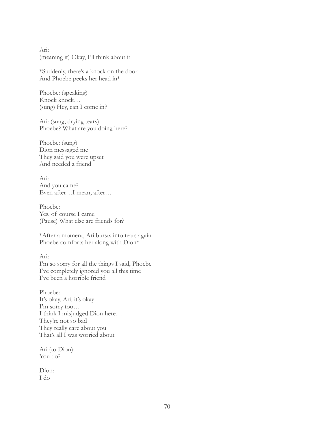Ari: (meaning it) Okay, I'll think about it

\*Suddenly, there's a knock on the door And Phoebe peeks her head in\*

Phoebe: (speaking) Knock knock… (sung) Hey, can I come in?

Ari: (sung, drying tears) Phoebe? What are you doing here?

Phoebe: (sung) Dion messaged me They said you were upset And needed a friend

Ari: And you came? Even after…I mean, after…

Phoebe: Yes, of course I came (Pause) What else are friends for?

\*After a moment, Ari bursts into tears again Phoebe comforts her along with Dion\*

Ari:

I'm so sorry for all the things I said, Phoebe I've completely ignored you all this time I've been a horrible friend

Phoebe: It's okay, Ari, it's okay I'm sorry too… I think I misjudged Dion here… They're not so bad They really care about you That's all I was worried about

Ari (to Dion): You do?

Dion: I do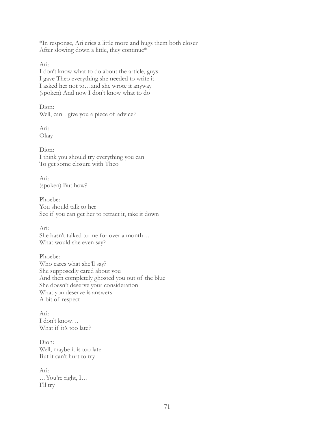\*In response, Ari cries a little more and hugs them both closer After slowing down a little, they continue\*

Ari:

I don't know what to do about the article, guys I gave Theo everything she needed to write it I asked her not to…and she wrote it anyway (spoken) And now I don't know what to do

Dion<sup>.</sup> Well, can I give you a piece of advice?

Ari: Okay

Dion: I think you should try everything you can To get some closure with Theo

Ari: (spoken) But how?

Phoebe: You should talk to her See if you can get her to retract it, take it down

Ari: She hasn't talked to me for over a month… What would she even say?

Phoebe: Who cares what she'll say? She supposedly cared about you And then completely ghosted you out of the blue She doesn't deserve your consideration What you deserve is answers A bit of respect

Ari: I don't know… What if it's too late?

Dion: Well, maybe it is too late But it can't hurt to try

Ari: …You're right, I… I'll try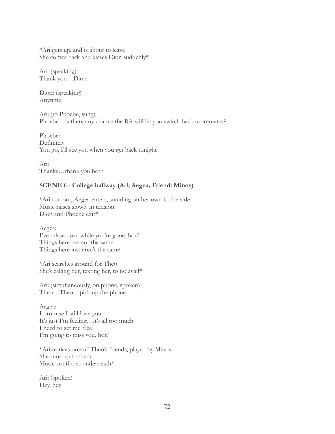\*Ari gets up, and is about to leave She comes back and kisses Dion suddenly\*

Ari: (speaking) Thank you…Dion

Dion: (speaking) Anytime

Ari: (to Phoebe, sung) Phoebe…is there any chance the RA will let you switch back roommates?

Phoebe: Definitely You go, I'll see you when you get back tonight

Ari: Thanks…thank you both

### **SCENE 6 - College hallway (Ari, Aegea, Friend: Minos)**

\*Ari run out, Aegea enters, standing on her own to the side Music raises slowly in tension Dion and Phoebe exit\*

Aegea: I've missed you while you're gone, hon' Things here are not the same Things here just aren't the same

\*Ari searches around for Theo She's calling her, texting her, to no avail\*

Ari: (simultaneously, on phone, spoken) Theo…Theo…pick up the phone…

Aegea: I promise I still love you It's just I'm feeling…it's all too much I need to set me free I'm going to miss you, hon'

\*Ari notices one of Theo's friends, played by Minos She runs up to them Music continues underneath\*

Ari: (spoken) Hey, hey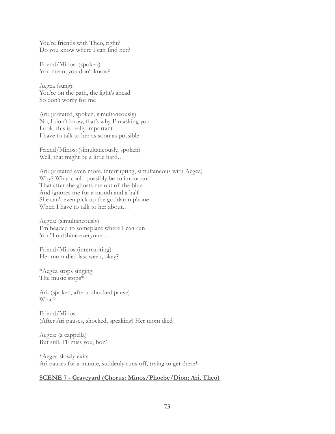You're friends with Theo, right? Do you know where I can find her?

Friend/Minos: (spoken) You mean, you don't know?

Aegea (sung): You're on the path, the light's ahead So don't worry for me

Ari: (irritated, spoken, simultaneously) No, I don't know, that's why I'm asking you Look, this is really important I have to talk to her as soon as possible

Friend/Minos: (simultaneously, spoken) Well, that might be a little hard...

Ari: (irritated even more, interrupting, simultaneous with Aegea) Why? What could possibly be so important That after she ghosts me out of the blue And ignores me for a month and a half She can't even pick up the goddamn phone When I have to talk to her about...

Aegea: (simultaneously) I'm headed to someplace where I can run You'll outshine everyone…

Friend/Minos (interrupting): Her mom died last week, okay?

\*Aegea stops singing The music stops\*

Ari: (spoken, after a shocked pause) What?

Friend/Minos: (After Ari pauses, shocked, speaking) Her mom died

Aegea: (a cappella) But still, I'll miss you, hon'

\*Aegea slowly exits Ari pauses for a minute, suddenly runs off, trying to get there\*

# **SCENE 7 - Graveyard (Chorus: Minos/Phoebe/Dion; Ari, Theo)**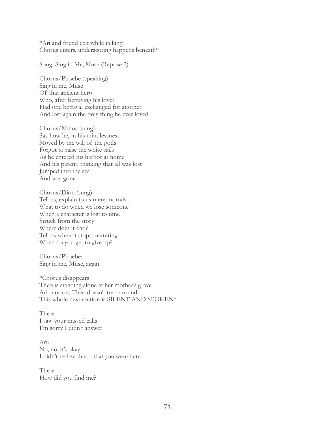\*Ari and friend exit while talking Chorus enters, underscoring happens beneath\*

#### Song: Sing in Me, Muse (Reprise 2)

Chorus/Phoebe (speaking): Sing in me, Muse Of that ancient hero Who, after betraying his lover Had one betrayal exchanged for another And lost again the only thing he ever loved

Chorus/Minos (sung): Say how he, in his mindlessness Moved by the will of the gods Forgot to raise the white sails As he entered his harbor at home And his parent, thinking that all was lost Jumped into the sea And was gone

Chorus/Dion (sung): Tell us, explain to us mere mortals What to do when we lose someone When a character is lost to time Struck from the story Where does it end? Tell us when it stops mattering When do you get to give up?

Chorus/Phoebe: Sing in me, Muse, again

\*Chorus disappears Theo is standing alone at her mother's grave Ari runs on, Theo doesn't turn around This whole next section is SILENT AND SPOKEN\*

Theo: I saw your missed calls I'm sorry I didn't answer

Ari: No, no, it's okay I didn't realize that…that you were here

Theo: How did you find me?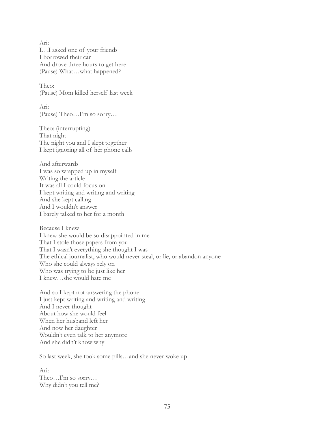Ari: I…I asked one of your friends I borrowed their car And drove three hours to get here (Pause) What…what happened?

Theo: (Pause) Mom killed herself last week

Ari: (Pause) Theo…I'm so sorry…

Theo: (interrupting) That night The night you and I slept together I kept ignoring all of her phone calls

And afterwards I was so wrapped up in myself Writing the article It was all I could focus on I kept writing and writing and writing And she kept calling And I wouldn't answer I barely talked to her for a month

Because I knew I knew she would be so disappointed in me That I stole those papers from you That I wasn't everything she thought I was The ethical journalist, who would never steal, or lie, or abandon anyone Who she could always rely on Who was trying to be just like her I knew…she would hate me

And so I kept not answering the phone I just kept writing and writing and writing And I never thought About how she would feel When her husband left her And now her daughter Wouldn't even talk to her anymore And she didn't know why

So last week, she took some pills…and she never woke up

Ari: Theo…I'm so sorry… Why didn't you tell me?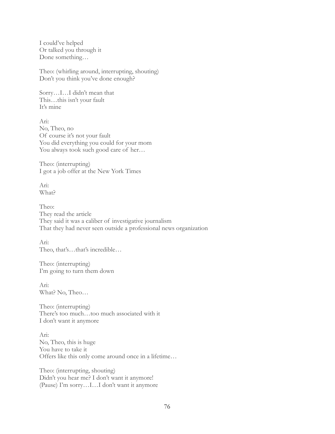I could've helped Or talked you through it Done something…

Theo: (whirling around, interrupting, shouting) Don't you think you've done enough?

Sorry…I…I didn't mean that This…this isn't your fault It's mine

Ari: No, Theo, no Of course it's not your fault You did everything you could for your mom You always took such good care of her...

Theo: (interrupting) I got a job offer at the New York Times

Ari: What?

Theo: They read the article They said it was a caliber of investigative journalism That they had never seen outside a professional news organization

Ari: Theo, that's…that's incredible…

Theo: (interrupting) I'm going to turn them down

Ari: What? No, Theo…

Theo: (interrupting) There's too much…too much associated with it I don't want it anymore

Ari: No, Theo, this is huge You have to take it Offers like this only come around once in a lifetime…

Theo: (interrupting, shouting) Didn't you hear me? I don't want it anymore! (Pause) I'm sorry…I…I don't want it anymore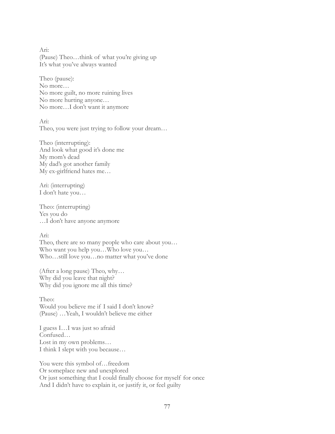Ari: (Pause) Theo…think of what you're giving up It's what you've always wanted

Theo (pause): No more… No more guilt, no more ruining lives No more hurting anyone… No more…I don't want it anymore

Ari: Theo, you were just trying to follow your dream…

Theo (interrupting): And look what good it's done me My mom's dead My dad's got another family My ex-girlfriend hates me…

Ari: (interrupting) I don't hate you…

Theo: (interrupting) Yes you do …I don't have anyone anymore

#### Ari:

Theo, there are so many people who care about you… Who want you help you...Who love you... Who…still love you…no matter what you've done

(After a long pause) Theo, why… Why did you leave that night? Why did you ignore me all this time?

Theo: Would you believe me if I said I don't know? (Pause) …Yeah, I wouldn't believe me either

I guess I…I was just so afraid Confused… Lost in my own problems… I think I slept with you because…

You were this symbol of...freedom Or someplace new and unexplored Or just something that I could finally choose for myself for once And I didn't have to explain it, or justify it, or feel guilty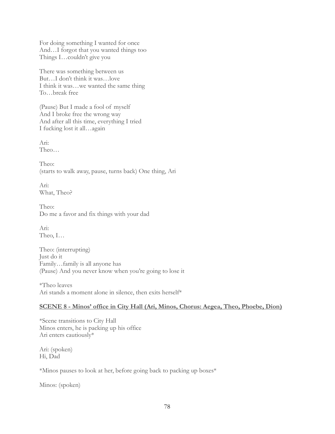For doing something I wanted for once And…I forgot that you wanted things too Things I…couldn't give you

There was something between us But…I don't think it was…love I think it was…we wanted the same thing To…break free

(Pause) But I made a fool of myself And I broke free the wrong way And after all this time, everything I tried I fucking lost it all…again

Ari: Theo…

Theo: (starts to walk away, pause, turns back) One thing, Ari

Ari: What, Theo?

Theo: Do me a favor and fix things with your dad

Ari: Theo, I…

Theo: (interrupting) Just do it Family…family is all anyone has (Pause) And you never know when you're going to lose it

\*Theo leaves Ari stands a moment alone in silence, then exits herself\*

### **SCENE 8 - Minos' office in City Hall (Ari, Minos, Chorus: Aegea, Theo, Phoebe, Dion)**

\*Scene transitions to City Hall Minos enters, he is packing up his office Ari enters cautiously\*

Ari: (spoken) Hi, Dad

\*Minos pauses to look at her, before going back to packing up boxes\*

Minos: (spoken)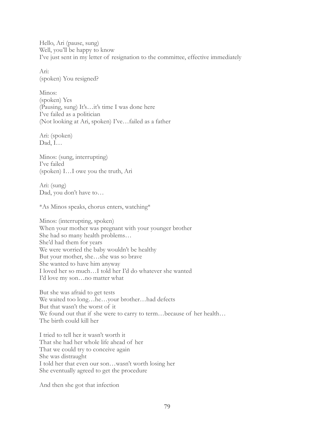Hello, Ari (pause, sung) Well, you'll be happy to know I've just sent in my letter of resignation to the committee, effective immediately

Ari: (spoken) You resigned?

Minos: (spoken) Yes (Pausing, sung) It's…it's time I was done here I've failed as a politician (Not looking at Ari, spoken) I've…failed as a father

Ari: (spoken) Dad, I…

Minos: (sung, interrupting) I've failed (spoken) I…I owe you the truth, Ari

Ari: (sung) Dad, you don't have to…

\*As Minos speaks, chorus enters, watching\*

Minos: (interrupting, spoken) When your mother was pregnant with your younger brother She had so many health problems… She'd had them for years We were worried the baby wouldn't be healthy But your mother, she…she was so brave She wanted to have him anyway I loved her so much…I told her I'd do whatever she wanted I'd love my son…no matter what

But she was afraid to get tests We waited too long…he…your brother…had defects But that wasn't the worst of it We found out that if she were to carry to term…because of her health… The birth could kill her

I tried to tell her it wasn't worth it That she had her whole life ahead of her That we could try to conceive again She was distraught I told her that even our son…wasn't worth losing her She eventually agreed to get the procedure

And then she got that infection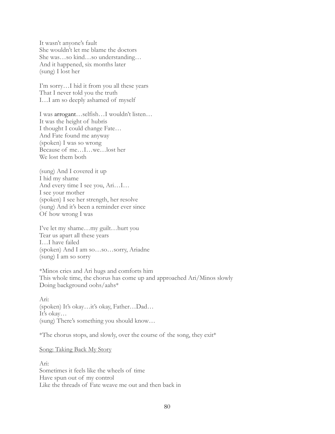It wasn't anyone's fault She wouldn't let me blame the doctors She was…so kind…so understanding… And it happened, six months later (sung) I lost her

I'm sorry…I hid it from you all these years That I never told you the truth I…I am so deeply ashamed of myself

I was arrogant…selfish…I wouldn't listen… It was the height of hubris I thought I could change Fate… And Fate found me anyway (spoken) I was so wrong Because of me…I…we…lost her We lost them both

(sung) And I covered it up I hid my shame And every time I see you, Ari…I… I see your mother (spoken) I see her strength, her resolve (sung) And it's been a reminder ever since Of how wrong I was

I've let my shame…my guilt…hurt you Tear us apart all these years I…I have failed (spoken) And I am so…so…sorry, Ariadne (sung) I am so sorry

\*Minos cries and Ari hugs and comforts him This whole time, the chorus has come up and approached Ari/Minos slowly Doing background oohs/aahs\*

Ari: (spoken) It's okay…it's okay, Father…Dad… It's okay… (sung) There's something you should know…

\*The chorus stops, and slowly, over the course of the song, they exit\*

Song: Taking Back My Story

Ari: Sometimes it feels like the wheels of time Have spun out of my control Like the threads of Fate weave me out and then back in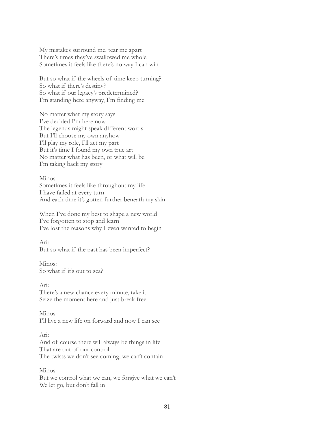My mistakes surround me, tear me apart There's times they've swallowed me whole Sometimes it feels like there's no way I can win

But so what if the wheels of time keep turning? So what if there's destiny? So what if our legacy's predetermined? I'm standing here anyway, I'm finding me

No matter what my story says I've decided I'm here now The legends might speak different words But I'll choose my own anyhow I'll play my role, I'll act my part But it's time I found my own true art No matter what has been, or what will be I'm taking back my story

Minos: Sometimes it feels like throughout my life I have failed at every turn And each time it's gotten further beneath my skin

When I've done my best to shape a new world I've forgotten to stop and learn I've lost the reasons why I even wanted to begin

Ari: But so what if the past has been imperfect?

Minos: So what if it's out to sea?

Ari: There's a new chance every minute, take it Seize the moment here and just break free

Minos: I'll live a new life on forward and now I can see

### Ari:

And of course there will always be things in life That are out of our control The twists we don't see coming, we can't contain

Minos:

But we control what we can, we forgive what we can't We let go, but don't fall in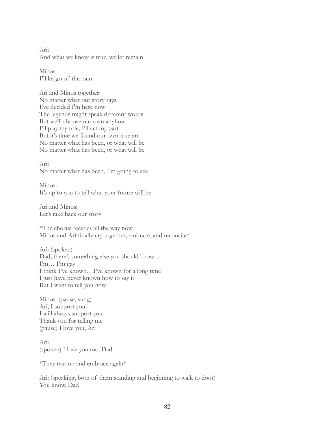Ari: And what we know is true, we let remain

Minos: I'll let go of the pain

Ari and Minos together: No matter what our story says I've decided I'm here now The legends might speak different words But we'll choose our own anyhow I'll play my role, I'll act my part But it's time we found our own true art No matter what has been, or what will be No matter what has been, or what will be

Ari: No matter what has been, I'm going to see

Minos: It's up to you to tell what your future will be

Ari and Minos: Let's take back our story

\*The chorus recedes all the way now Minos and Ari finally cry together, embrace, and reconcile\*

Ari: (spoken) Dad, there's something else you should know… I'm… I'm gay I think I've known…I've known for a long time I just have never known how to say it But I want to tell you now

Minos: (pause, sung) Ari, I support you I will always support you Thank you for telling me (pause) I love you, Ari

Ari: (spoken) I love you too, Dad

\*They tear up and embrace again\*

Ari: (speaking, both of them standing and beginning to walk to door) You know, Dad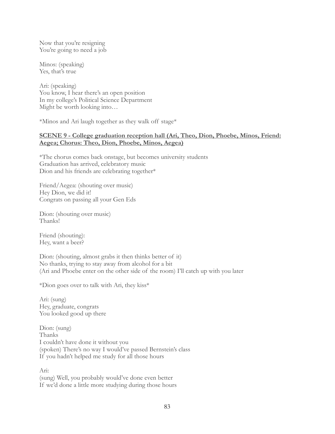Now that you're resigning You're going to need a job

Minos: (speaking) Yes, that's true

Ari: (speaking) You know, I hear there's an open position In my college's Political Science Department Might be worth looking into…

\*Minos and Ari laugh together as they walk off stage\*

### **SCENE 9 - College graduation reception hall (Ari, Theo, Dion, Phoebe, Minos, Friend: Aegea; Chorus: Theo, Dion, Phoebe, Minos, Aegea)**

\*The chorus comes back onstage, but becomes university students Graduation has arrived, celebratory music Dion and his friends are celebrating together\*

Friend/Aegea: (shouting over music) Hey Dion, we did it! Congrats on passing all your Gen Eds

Dion: (shouting over music) Thanks!

Friend (shouting): Hey, want a beer?

Dion: (shouting, almost grabs it then thinks better of it) No thanks, trying to stay away from alcohol for a bit (Ari and Phoebe enter on the other side of the room) I'll catch up with you later

\*Dion goes over to talk with Ari, they kiss\*

Ari: (sung) Hey, graduate, congrats You looked good up there

Dion: (sung) Thanks I couldn't have done it without you (spoken) There's no way I would've passed Bernstein's class If you hadn't helped me study for all those hours

Ari:

(sung) Well, you probably would've done even better If we'd done a little more studying during those hours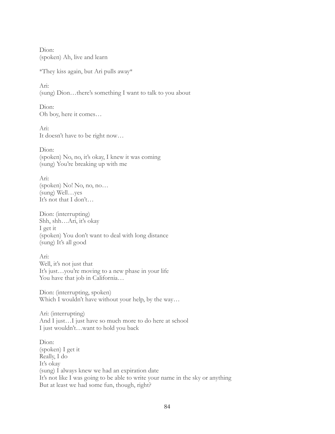Dion: (spoken) Ah, live and learn

\*They kiss again, but Ari pulls away\*

Ari: (sung) Dion…there's something I want to talk to you about

Dion: Oh boy, here it comes…

Ari: It doesn't have to be right now…

Dion: (spoken) No, no, it's okay, I knew it was coming (sung) You're breaking up with me

Ari: (spoken) No! No, no, no… (sung) Well…yes It's not that I don't…

Dion: (interrupting) Shh, shh…Ari, it's okay I get it (spoken) You don't want to deal with long distance (sung) It's all good

Ari: Well, it's not just that It's just…you're moving to a new phase in your life You have that job in California...

Dion: (interrupting, spoken) Which I wouldn't have without your help, by the way...

Ari: (interrupting) And I just…I just have so much more to do here at school I just wouldn't…want to hold you back

Dion: (spoken) I get it Really, I do It's okay (sung) I always knew we had an expiration date It's not like I was going to be able to write your name in the sky or anything But at least we had some fun, though, right?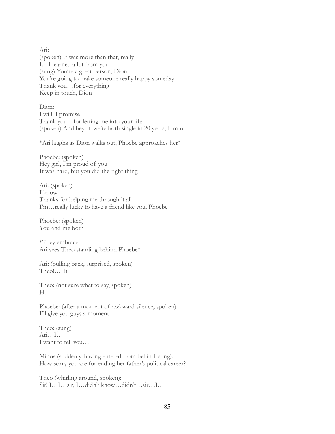Ari: (spoken) It was more than that, really I…I learned a lot from you (sung) You're a great person, Dion You're going to make someone really happy someday Thank you…for everything Keep in touch, Dion

Dion<sup>-</sup> I will, I promise Thank you…for letting me into your life (spoken) And hey, if we're both single in 20 years, h-m-u

\*Ari laughs as Dion walks out, Phoebe approaches her\*

Phoebe: (spoken) Hey girl, I'm proud of you It was hard, but you did the right thing

Ari: (spoken) I know Thanks for helping me through it all I'm…really lucky to have a friend like you, Phoebe

Phoebe: (spoken) You and me both

\*They embrace Ari sees Theo standing behind Phoebe\*

Ari: (pulling back, surprised, spoken) Theo!…Hi

Theo: (not sure what to say, spoken) Hi

Phoebe: (after a moment of awkward silence, spoken) I'll give you guys a moment

Theo: (sung) Ari…I… I want to tell you…

Minos (suddenly, having entered from behind, sung): How sorry you are for ending her father's political career?

Theo (whirling around, spoken): Sir! I…I…sir, I…didn't know…didn't…sir…I…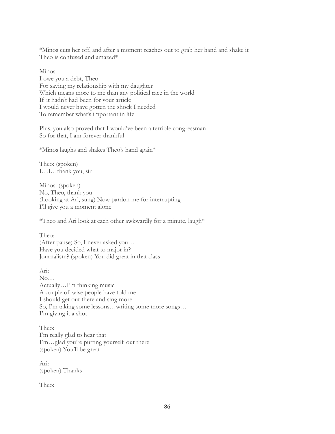\*Minos cuts her off, and after a moment reaches out to grab her hand and shake it Theo is confused and amazed\*

Minos: I owe you a debt, Theo For saving my relationship with my daughter Which means more to me than any political race in the world If it hadn't had been for your article I would never have gotten the shock I needed To remember what's important in life

Plus, you also proved that I would've been a terrible congressman So for that, I am forever thankful

\*Minos laughs and shakes Theo's hand again\*

Theo: (spoken) I…I…thank you, sir

Minos: (spoken) No, Theo, thank you (Looking at Ari, sung) Now pardon me for interrupting I'll give you a moment alone

\*Theo and Ari look at each other awkwardly for a minute, laugh\*

Theo: (After pause) So, I never asked you… Have you decided what to major in? Journalism? (spoken) You did great in that class

Ari: No… Actually…I'm thinking music A couple of wise people have told me I should get out there and sing more So, I'm taking some lessons…writing some more songs… I'm giving it a shot

Theo: I'm really glad to hear that I'm…glad you're putting yourself out there (spoken) You'll be great

Ari: (spoken) Thanks

Theo: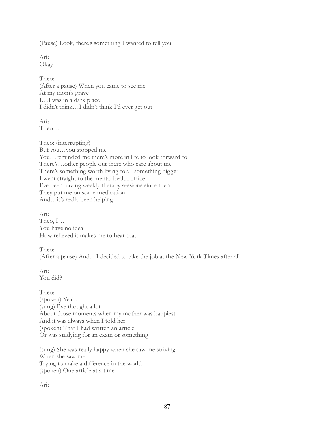(Pause) Look, there's something I wanted to tell you

Ari: Okay

Theo: (After a pause) When you came to see me At my mom's grave I…I was in a dark place I didn't think…I didn't think I'd ever get out

Ari: Theo…

Theo: (interrupting) But you…you stopped me You…reminded me there's more in life to look forward to There's…other people out there who care about me There's something worth living for…something bigger I went straight to the mental health office I've been having weekly therapy sessions since then They put me on some medication And…it's really been helping

Ari: Theo, I… You have no idea How relieved it makes me to hear that

Theo: (After a pause) And…I decided to take the job at the New York Times after all

Ari: You did?

Theo: (spoken) Yeah… (sung) I've thought a lot About those moments when my mother was happiest And it was always when I told her (spoken) That I had written an article Or was studying for an exam or something

(sung) She was really happy when she saw me striving When she saw me Trying to make a difference in the world (spoken) One article at a time

Ari: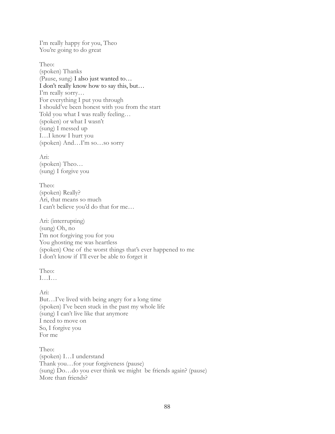I'm really happy for you, Theo You're going to do great

Theo: (spoken) Thanks (Pause, sung) I also just wanted to… I don't really know how to say this, but… I'm really sorry… For everything I put you through I should've been honest with you from the start Told you what I was really feeling… (spoken) or what I wasn't (sung) I messed up I…I know I hurt you (spoken) And…I'm so…so sorry

Ari: (spoken) Theo… (sung) I forgive you

Theo: (spoken) Really? Ari, that means so much I can't believe you'd do that for me…

Ari: (interrupting) (sung) Oh, no I'm not forgiving you for you You ghosting me was heartless (spoken) One of the worst things that's ever happened to me I don't know if I'll ever be able to forget it

Theo: I…I…

Ari: But…I've lived with being angry for a long time (spoken) I've been stuck in the past my whole life (sung) I can't live like that anymore I need to move on So, I forgive you For me

Theo: (spoken) I…I understand Thank you…for your forgiveness (pause) (sung) Do…do you ever think we might be friends again? (pause) More than friends?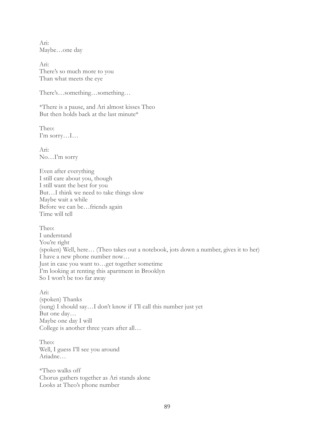Ari: Maybe…one day

Ari: There's so much more to you Than what meets the eye

There's…something…something…

\*There is a pause, and Ari almost kisses Theo But then holds back at the last minute\*

Theo: I'm sorry…I…

Ari: No…I'm sorry

Even after everything I still care about you, though I still want the best for you But…I think we need to take things slow Maybe wait a while Before we can be…friends again Time will tell

Theo: I understand You're right (spoken) Well, here… (Theo takes out a notebook, jots down a number, gives it to her) I have a new phone number now… Just in case you want to…get together sometime I'm looking at renting this apartment in Brooklyn So I won't be too far away

Ari: (spoken) Thanks (sung) I should say…I don't know if I'll call this number just yet But one day… Maybe one day I will College is another three years after all…

Theo: Well, I guess I'll see you around Ariadne…

\*Theo walks off Chorus gathers together as Ari stands alone Looks at Theo's phone number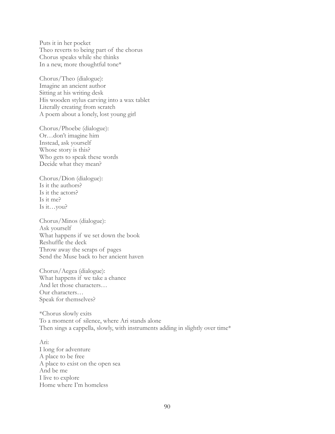Puts it in her pocket Theo reverts to being part of the chorus Chorus speaks while she thinks In a new, more thoughtful tone\*

Chorus/Theo (dialogue): Imagine an ancient author Sitting at his writing desk His wooden stylus carving into a wax tablet Literally creating from scratch A poem about a lonely, lost young girl

Chorus/Phoebe (dialogue): Or…don't imagine him Instead, ask yourself Whose story is this? Who gets to speak these words Decide what they mean?

Chorus/Dion (dialogue): Is it the authors? Is it the actors? Is it me? Is it…you?

Chorus/Minos (dialogue): Ask yourself What happens if we set down the book Reshuffle the deck Throw away the scraps of pages Send the Muse back to her ancient haven

Chorus/Aegea (dialogue): What happens if we take a chance And let those characters… Our characters… Speak for themselves?

\*Chorus slowly exits To a moment of silence, where Ari stands alone Then sings a cappella, slowly, with instruments adding in slightly over time\*

Ari: I long for adventure A place to be free A place to exist on the open sea And be me I live to explore Home where I'm homeless